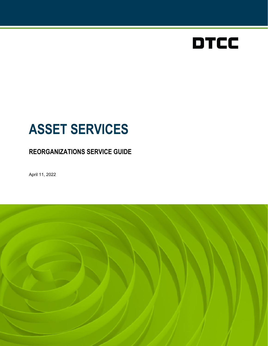

# **ASSET SERVICES**

## **REORGANIZATIONS SERVICE GUIDE**

April 11, 2022

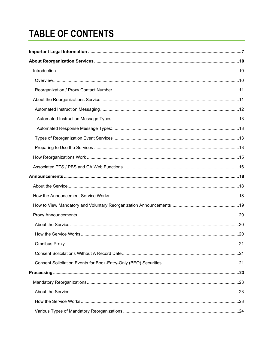# **TABLE OF CONTENTS**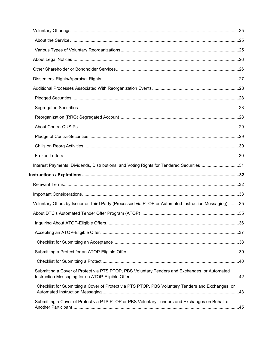| Interest Payments, Dividends, Distributions, and Voting Rights for Tendered Securities31             |  |
|------------------------------------------------------------------------------------------------------|--|
|                                                                                                      |  |
|                                                                                                      |  |
|                                                                                                      |  |
|                                                                                                      |  |
| Voluntary Offers by Issuer or Third Party (Processed via PTOP or Automated Instruction Messaging) 35 |  |
|                                                                                                      |  |
|                                                                                                      |  |
|                                                                                                      |  |
|                                                                                                      |  |
|                                                                                                      |  |
|                                                                                                      |  |
| Submitting a Cover of Protect via PTS PTOP, PBS Voluntary Tenders and Exchanges, or Automated        |  |
| Checklist for Submitting a Cover of Protect via PTS PTOP, PBS Voluntary Tenders and Exchanges, or    |  |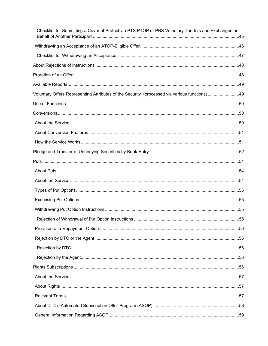| Checklist for Submitting a Cover of Protect via PTS PTOP or PBS Voluntary Tenders and Exchanges on |  |
|----------------------------------------------------------------------------------------------------|--|
|                                                                                                    |  |
|                                                                                                    |  |
|                                                                                                    |  |
|                                                                                                    |  |
|                                                                                                    |  |
| Voluntary Offers Representing Attributes of the Security (processed via various functions)49       |  |
|                                                                                                    |  |
|                                                                                                    |  |
|                                                                                                    |  |
|                                                                                                    |  |
|                                                                                                    |  |
|                                                                                                    |  |
|                                                                                                    |  |
|                                                                                                    |  |
|                                                                                                    |  |
|                                                                                                    |  |
|                                                                                                    |  |
|                                                                                                    |  |
|                                                                                                    |  |
|                                                                                                    |  |
|                                                                                                    |  |
|                                                                                                    |  |
|                                                                                                    |  |
|                                                                                                    |  |
|                                                                                                    |  |
|                                                                                                    |  |
|                                                                                                    |  |
|                                                                                                    |  |
|                                                                                                    |  |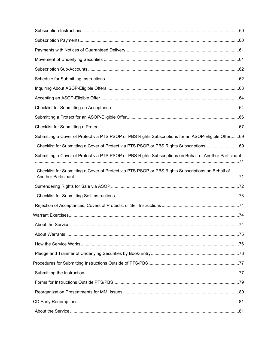| Submitting a Cover of Protect via PTS PSOP or PBS Rights Subscriptions for an ASOP-Eligible Offer69     |  |
|---------------------------------------------------------------------------------------------------------|--|
|                                                                                                         |  |
| Submitting a Cover of Protect via PTS PSOP or PBS Rights Subscriptions on Behalf of Another Participant |  |
| Checklist for Submitting a Cover of Protect via PTS PSOP or PBS Rights Subscriptions on Behalf of       |  |
|                                                                                                         |  |
|                                                                                                         |  |
|                                                                                                         |  |
|                                                                                                         |  |
|                                                                                                         |  |
|                                                                                                         |  |
|                                                                                                         |  |
|                                                                                                         |  |
|                                                                                                         |  |
|                                                                                                         |  |
|                                                                                                         |  |
|                                                                                                         |  |
|                                                                                                         |  |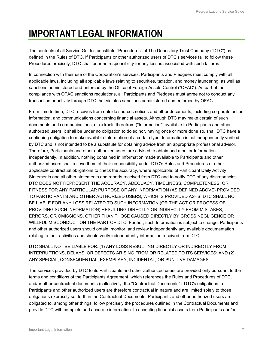# <span id="page-6-0"></span>**IMPORTANT LEGAL INFORMATION**

The contents of all Service Guides constitute "Procedures" of The Depository Trust Company ("DTC") as defined in the Rules of DTC. If Participants or other authorized users of DTC's services fail to follow these Procedures precisely, DTC shall bear no responsibility for any losses associated with such failures.

In connection with their use of the Corporation's services, Participants and Pledgees must comply with all applicable laws, including all applicable laws relating to securities, taxation, and money laundering, as well as sanctions administered and enforced by the Office of Foreign Assets Control ("OFAC"). As part of their compliance with OFAC sanctions regulations, all Participants and Pledgees must agree not to conduct any transaction or activity through DTC that violates sanctions administered and enforced by OFAC.

From time to time, DTC receives from outside sources notices and other documents, including corporate action information, and communications concerning financial assets. Although DTC may make certain of such documents and communications, or extracts therefrom ("Information") available to Participants and other authorized users, it shall be under no obligation to do so nor, having once or more done so, shall DTC have a continuing obligation to make available Information of a certain type. Information is not independently verified by DTC and is not intended to be a substitute for obtaining advice from an appropriate professional advisor. Therefore, Participants and other authorized users are advised to obtain and monitor Information independently. In addition, nothing contained in Information made available to Participants and other authorized users shall relieve them of their responsibility under DTC's Rules and Procedures or other applicable contractual obligations to check the accuracy, where applicable, of Participant Daily Activity Statements and all other statements and reports received from DTC and to notify DTC of any discrepancies. DTC DOES NOT REPRESENT THE ACCURACY, ADEQUACY, TIMELINESS, COMPLETENESS, OR FITNESS FOR ANY PARTICULAR PURPOSE OF ANY INFORMATION (AS DEFINED ABOVE) PROVIDED TO PARTICIPANTS AND OTHER AUTHORIZED USERS, WHICH IS PROVIDED AS-IS. DTC SHALL NOT BE LIABLE FOR ANY LOSS RELATED TO SUCH INFORMATION (OR THE ACT OR PROCESS OF PROVIDING SUCH INFORMATION) RESULTING DIRECTLY OR INDIRECTLY FROM MISTAKES, ERRORS, OR OMISSIONS, OTHER THAN THOSE CAUSED DIRECTLY BY GROSS NEGLIGENCE OR WILLFUL MISCONDUCT ON THE PART OF DTC. Further, such Information is subject to change. Participants and other authorized users should obtain, monitor, and review independently any available documentation relating to their activities and should verify independently information received from DTC.

#### DTC SHALL NOT BE LIABLE FOR: (1) ANY LOSS RESULTING DIRECTLY OR INDIRECTLY FROM INTERRUPTIONS, DELAYS, OR DEFECTS ARISING FROM OR RELATED TO ITS SERVICES; AND (2) ANY SPECIAL, CONSEQUENTIAL, EXEMPLARY, INCIDENTAL, OR PUNITIVE DAMAGES.

The services provided by DTC to its Participants and other authorized users are provided only pursuant to the terms and conditions of the Participants Agreement, which references the Rules and Procedures of DTC, and/or other contractual documents (collectively, the "Contractual Documents"). DTC's obligations to Participants and other authorized users are therefore contractual in nature and are limited solely to those obligations expressly set forth in the Contractual Documents. Participants and other authorized users are obligated to, among other things, follow precisely the procedures outlined in the Contractual Documents and provide DTC with complete and accurate information. In accepting financial assets from Participants and/or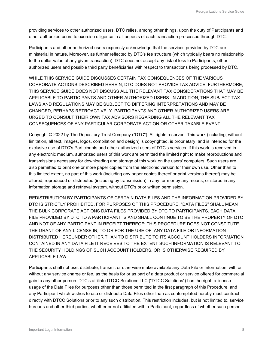providing services to other authorized users, DTC relies, among other things, upon the duty of Participants and other authorized users to exercise diligence in all aspects of each transaction processed through DTC.

Participants and other authorized users expressly acknowledge that the services provided by DTC are ministerial in nature. Moreover, as further reflected by DTC's fee structure (which typically bears no relationship to the dollar value of any given transaction), DTC does not accept any risk of loss to Participants, other authorized users and possible third party beneficiaries with respect to transactions being processed by DTC.

WHILE THIS SERVICE GUIDE DISCUSSES CERTAIN TAX CONSEQUENCES OF THE VARIOUS CORPORATE ACTIONS DESCRIBED HEREIN, DTC DOES NOT PROVIDE TAX ADVICE. FURTHERMORE, THIS SERVICE GUIDE DOES NOT DISCUSS ALL THE RELEVANT TAX CONSIDERATIONS THAT MAY BE APPLICABLE TO PARTICIPANTS AND OTHER AUTHORIZED USERS. IN ADDITION, THE SUBJECT TAX LAWS AND REGULATIONS MAY BE SUBJECT TO DIFFERING INTERPRETATIONS AND MAY BE CHANGED, PERHAPS RETROACTIVELY. PARTICIPANTS AND OTHER AUTHORIZED USERS ARE URGED TO CONSULT THEIR OWN TAX ADVISORS REGARDING ALL THE RELEVANT TAX CONSEQUENCES OF ANY PARTICULAR CORPORATE ACTION OR OTHER TAXABLE EVENT.

Copyright © 2022 by The Depository Trust Company ("DTC"). All rights reserved. This work (including, without limitation, all text, images, logos, compilation and design) is copyrighted, is proprietary, and is intended for the exclusive use of DTC's Participants and other authorized users of DTC's services. If this work is received in any electronic medium, authorized users of this work are permitted the limited right to make reproductions and transmissions necessary for downloading and storage of this work on the users' computers. Such users are also permitted to print one or more paper copies from the electronic version for their own use. Other than to this limited extent, no part of this work (including any paper copies thereof or print versions thereof) may be altered, reproduced or distributed (including by transmission) in any form or by any means, or stored in any information storage and retrieval system, without DTC's prior written permission.

REDISTRIBUTION BY PARTICIPANTS OF CERTAIN DATA FILES AND THE INFORMATION PROVIDED BY DTC IS STRICTLY PROHIBITED. FOR PURPOSES OF THIS PROCEDURE, "DATA FILES" SHALL MEAN THE BULK CORPORATE ACTIONS DATA FILES PROVIDED BY DTC TO PARTICIPANTS. EACH DATA FILE PROVIDED BY DTC TO A PARTICIPANT IS AND SHALL CONTINUE TO BE THE PROPERTY OF DTC AND NOT OF ANY PARTICIPANT IN RECEIPT THEREOF; THIS PROCEDURE DOES NOT CONSTITUTE THE GRANT OF ANY LICENSE IN, TO OR FOR THE USE OF, ANY DATA FILE OR INFORMATION DISTRIBUTED HEREUNDER OTHER THAN TO DISTRIBUTE TO ITS ACCOUNT HOLDERS INFORMATION CONTAINED IN ANY DATA FILE IT RECEIVES TO THE EXTENT SUCH INFORMATION IS RELEVANT TO THE SECURITY HOLDINGS OF SUCH ACCOUNT HOLDERS, OR IS OTHERWISE REQUIRED BY APPLICABLE LAW.

Participants shall not use, distribute, transmit or otherwise make available any Data File or Information, with or without any service charge or fee, as the basis for or as part of a data product or service offered for commercial gain to any other person. DTC's affiliate DTCC Solutions LLC ("DTCC Solutions") has the right to license usage of the Data Files for purposes other than those permitted in the first paragraph of this Procedure, and any Participant which wishes to use or distribute Data Files other than as contemplated hereby must contract directly with DTCC Solutions prior to any such distribution. This restriction includes, but is not limited to, service bureaus and other third parties, whether or not affiliated with a Participant, regardless of whether such person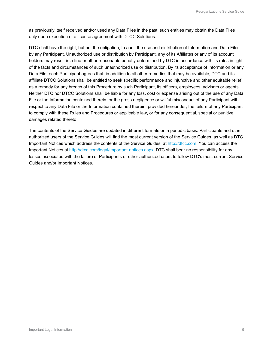as previously itself received and/or used any Data Files in the past; such entities may obtain the Data Files only upon execution of a license agreement with DTCC Solutions.

DTC shall have the right, but not the obligation, to audit the use and distribution of Information and Data Files by any Participant. Unauthorized use or distribution by Participant, any of its Affiliates or any of its account holders may result in a fine or other reasonable penalty determined by DTC in accordance with its rules in light of the facts and circumstances of such unauthorized use or distribution. By its acceptance of Information or any Data File, each Participant agrees that, in addition to all other remedies that may be available, DTC and its affiliate DTCC Solutions shall be entitled to seek specific performance and injunctive and other equitable relief as a remedy for any breach of this Procedure by such Participant, its officers, employees, advisors or agents. Neither DTC nor DTCC Solutions shall be liable for any loss, cost or expense arising out of the use of any Data File or the Information contained therein, or the gross negligence or willful misconduct of any Participant with respect to any Data File or the Information contained therein, provided hereunder, the failure of any Participant to comply with these Rules and Procedures or applicable law, or for any consequential, special or punitive damages related thereto.

The contents of the Service Guides are updated in different formats on a periodic basis. Participants and other authorized users of the Service Guides will find the most current version of the Service Guides, as well as DTC Important Notices which address the contents of the Service Guides, at [http://dtcc.com.](http://dtcc.com/) You can access the Important Notices at [http://dtcc.com/legal/important-notices.aspx.](http://dtcc.com/legal/important-notices.aspx) DTC shall bear no responsibility for any losses associated with the failure of Participants or other authorized users to follow DTC's most current Service Guides and/or Important Notices.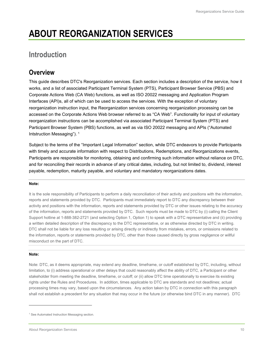# <span id="page-9-0"></span>**ABOUT REORGANIZATION SERVICES**

# <span id="page-9-1"></span>**Introduction**

### <span id="page-9-2"></span>**Overview**

This guide describes DTC's Reorganization services. Each section includes a description of the service, how it works, and a list of associated Participant Terminal System (PTS), Participant Browser Service (PBS) and Corporate Actions Web (CA Web) functions, as well as ISO 20022 messaging and Application Program Interfaces (API)s, all of which can be used to access the services. With the exception of voluntary reorganization instruction input, the Reorganization services concerning reorganization processing can be accessed on the Corporate Actions Web browser referred to as "CA Web". Functionality for input of voluntary reorganization instructions can be accomplished via associated Participant Terminal System (PTS) and Participant Browser System (PBS) functions, as well as via ISO 20022 messaging and APIs ("Automated Intstruction Messaging"). <sup>[1](#page-9-3)</sup>

Subject to the terms of the "Important Legal Information" section, while DTC endeavors to provide Participants with timely and accurate information with respect to Distributions, Redemptions, and Reorganizations events, Participants are responsible for monitoring, obtaining and confirming such information without reliance on DTC, and for reconciling their records in advance of any critical dates, including, but not limited to, dividend, interest payable, redemption, maturity payable, and voluntary and mandatory reorganizations dates.

#### **Note:**

It is the sole responsibility of Participants to perform a daily reconciliation of their activity and positions with the information, reports and statements provided by DTC. Participants must immediately report to DTC any discrepancy between their activity and positions with the information, reports and statements provided by DTC or other issues relating to the accuracy of the information, reports and statements provided by DTC. Such reports must be made to DTC by (i) calling the Client Support hotline at 1-888-382-2721 (and selecting Option 1, Option 1) to speak with a DTC representative and (ii) providing a written detailed description of the discrepancy to the DTC representative, or as otherwise directed by DTC in writing. DTC shall not be liable for any loss resulting or arising directly or indirectly from mistakes, errors, or omissions related to the information, reports or statements provided by DTC, other than those caused directly by gross negligence or willful misconduct on the part of DTC.

#### **Note:**

Note: DTC, as it deems appropriate, may extend any deadline, timeframe, or cutoff established by DTC, including, without limitation, to (i) address operational or other delays that could reasonably affect the ability of DTC, a Participant or other stakeholder from meeting the deadline, timeframe, or cutoff; or (ii) allow DTC time operationally to exercise its existing rights under the Rules and Procedures. In addition, times applicable to DTC are standards and not deadlines; actual processing times may vary, based upon the circumstances. Any action taken by DTC in connection with this paragraph shall not establish a precedent for any situation that may occur in the future (or otherwise bind DTC in any manner). DTC

<span id="page-9-3"></span><sup>&</sup>lt;sup>1</sup> See Automated Instruction Messaging section.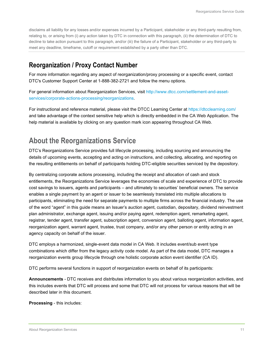disclaims all liability for any losses and/or expenses incurred by a Participant, stakeholder or any third-party resulting from, relating to, or arising from (i) any action taken by DTC in connection with this paragraph, (ii) the determination of DTC to decline to take action pursuant to this paragraph, and/or (iii) the failure of a Participant, stakeholder or any third-party to meet any deadline, timeframe, cutoff or requirement established by a party other than DTC.

### <span id="page-10-0"></span>**Reorganization / Proxy Contact Number**

For more information regarding any aspect of reorganization/proxy processing or a specific event, contact DTC's Customer Support Center at 1-888-382-2721 and follow the menu options.

For general information about Reorganization Services, visit [http://www.dtcc.com/settlement-and-asset](http://www.dtcc.com/settlement-and-asset-services/corporate-actions-processing/reorganizations)[services/corporate-actions-processing/reorganizations.](http://www.dtcc.com/settlement-and-asset-services/corporate-actions-processing/reorganizations)

For instructional and reference material, please visit the DTCC Learning Center at<https://dtcclearning.com/> and take advantage of the context sensitive help which is directly embedded in the CA Web Application. The help material is available by clicking on any question mark icon appearing throughout CA Web.

## <span id="page-10-1"></span>**About the Reorganizations Service**

DTC's Reorganizations Service provides full lifecycle processing, including sourcing and announcing the details of upcoming events, accepting and acting on instructions, and collecting, allocating, and reporting on the resulting entitlements on behalf of participants holding DTC-eligible securities serviced by the depository.

By centralizing corporate actions processing, including the receipt and allocation of cash and stock entitlements, the Reorganizations Service leverages the economies of scale and experience of DTC to provide cost savings to issuers, agents and participants – and ultimately to securities' beneficial owners. The service enables a single payment by an agent or issuer to be seamlessly translated into multiple allocations to participants, eliminating the need for separate payments to multiple firms across the financial industry. The use of the word "agent" in this guide means an Issuer's auction agent, custodian, depositary, dividend reinvestment plan administrator, exchange agent, issuing and/or paying agent, redemption agent, remarketing agent, registrar, tender agent, transfer agent, subscription agent, conversion agent, balloting agent, information agent, reorganization agent, warrant agent, trustee, trust company, and/or any other person or entity acting in an agency capacity on behalf of the issuer.

DTC employs a harmonized, single-event data model in CA Web. It includes event/sub event type combinations which differ from the legacy activity code model. As part of the data model, DTC manages a reorganization events group lifecycle through one holistic corporate action event identifier (CA ID).

DTC performs several functions in support of reorganization events on behalf of its participants:

**Announcements** - DTC receives and distributes information to you about various reorganization activities, and this includes events that DTC will process and some that DTC will not process for various reasons that will be described later in this document.

**Processing** - this includes: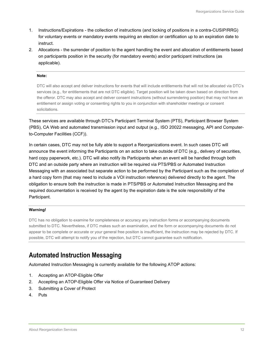- 1. Instructions/Expirations the collection of instructions (and locking of positions in a contra-CUSIP/RRG) for voluntary events or mandatory events requiring an election or certification up to an expiration date to instruct.
- 2. Allocations the surrender of position to the agent handling the event and allocation of entitlements based on participants position in the security (for mandatory events) and/or participant instructions (as applicable).

DTC will also accept and deliver instructions for events that will include entitlements that will not be allocated via DTC's services (e.g., for entitlements that are not DTC eligible). Target position will be taken down based on direction from the offeror. DTC may also accept and deliver consent instructions (without surrendering position) that may not have an entitlement or assign voting or consenting rights to you in conjunction with shareholder meetings or consent solicitations.

These services are available through DTC's Participant Terminal System (PTS), Participant Browser System (PBS), CA Web and automated transmission input and output (e.g., ISO 20022 messaging, API and Computerto-Computer Facilities (CCF)).

In certain cases, DTC may not be fully able to support a Reorganizations event. In such cases DTC will announce the event informing the Participants on an action to take outside of DTC (e.g., delivery of securities, hard copy paperwork, etc.). DTC will also notify its Participants when an event will be handled through both DTC and an outside party where an instruction will be required via PTS/PBS or Automated Instruction Messaging with an associated but separate action to be performed by the Participant such as the completion of a hard copy form (that may need to include a VOI instruction reference) delivered directly to the agent. The obligation to ensure both the instruction is made in PTS/PBS or Automated Instruction Messaging and the required documentation is received by the agent by the expiration date is the sole responsibility of the Participant.

#### **Warning!**

DTC has no obligation to examine for completeness or accuracy any instruction forms or accompanying documents submitted to DTC. Nevertheless, if DTC makes such an examination, and the form or accompanying documents do not appear to be complete or accurate or your general free position is insufficient, the instruction may be rejected by DTC. If possible, DTC will attempt to notify you of the rejection, but DTC cannot guarantee such notification.

### <span id="page-11-0"></span>**Automated Instruction Messaging**

Automated Instruction Messaging is currently available for the following ATOP actions:

- 1. Accepting an ATOP-Eligible Offer
- 2. Accepting an ATOP-Eligible Offer via Notice of Guaranteed Delivery
- 3. Submitting a Cover of Protect
- 4. Puts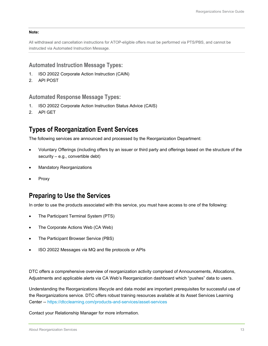All withdrawal and cancellation instructions for ATOP-eligible offers must be performed via PTS/PBS, and cannot be instructed via Automated Instruction Message.

#### <span id="page-12-0"></span>**Automated Instruction Message Types:**

- 1. ISO 20022 Corporate Action Instruction (CAIN)
- <span id="page-12-1"></span>2. API POST

#### **Automated Response Message Types:**

- 1. ISO 20022 Corporate Action Instruction Status Advice (CAIS)
- <span id="page-12-2"></span>2. API GET

#### **Types of Reorganization Event Services**

The following services are announced and processed by the Reorganization Department:

- Voluntary Offerings (including offers by an issuer or third party and offerings based on the structure of the security – e.g., convertible debt)
- Mandatory Reorganizations
- Proxy

#### <span id="page-12-3"></span>**Preparing to Use the Services**

In order to use the products associated with this service, you must have access to one of the following:

- The Participant Terminal System (PTS)
- The Corporate Actions Web (CA Web)
- The Participant Browser Service (PBS)
- ISO 20022 Messages via MQ and file protocols or APIs

DTC offers a comprehensive overview of reorganization activity comprised of Announcements, Allocations, Adjustments and applicable alerts via CA Web's Reorganization dashboard which "pushes" data to users.

Understanding the Reorganizations lifecycle and data model are important prerequisites for successful use of the Reorganizations service. DTC offers robust training resources available at its Asset Services Learning Center -- <https://dtcclearning.com/products-and-services/asset-services>

Contact your Relationship Manager for more information.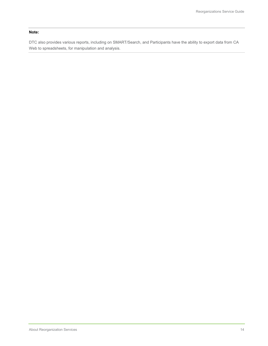DTC also provides various reports, including on SMART/Search, and Participants have the ability to export data from CA Web to spreadsheets, for manipulation and analysis.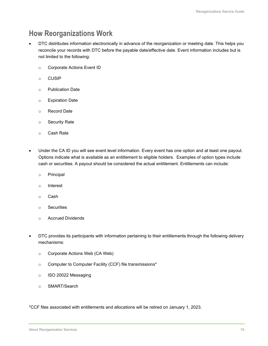## <span id="page-14-0"></span>**How Reorganizations Work**

- DTC distributes information electronically in advance of the reorganization or meeting date. This helps you reconcile your records with DTC before the payable date/effective date. Event information includes but is not limited to the following:
	- o Corporate Actions Event ID
	- o CUSIP
	- o Publication Date
	- o Expiration Date
	- o Record Date
	- o Security Rate
	- o Cash Rate
- Under the CA ID you will see event level information. Every event has one option and at least one payout. Options indicate what is available as an entitlement to eligible holders. Examples of option types include cash or securities. A payout should be considered the actual entitlement. Entitlements can include:
	- o Principal
	- o Interest
	- o Cash
	- o Securities
	- o Accrued Dividends
- DTC provides its participants with information pertaining to their entitlements through the following delivery mechanisms:
	- o Corporate Actions Web (CA Web)
	- o Computer to Computer Facility (CCF) file transmissions\*
	- o ISO 20022 Messaging
	- o SMART/Search

\*CCF files associated with entitlements and allocations will be retired on January 1, 2023.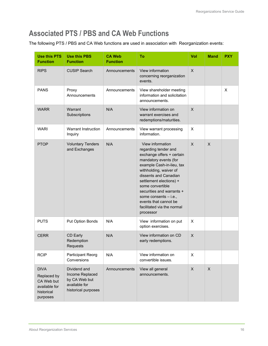# <span id="page-15-0"></span>**Associated PTS / PBS and CA Web Functions**

The following PTS / PBS and CA Web functions are used in association with Reorganization events:

| <b>Use this PTS</b><br><b>Function</b>                                              | <b>Use this PBS</b><br><b>Function</b>                                                   | <b>CA Web</b><br><b>Function</b> | To                                                                                                                                                                                                                                                                                                                                                      | Vol          | <b>Mand</b>               | <b>PXY</b> |
|-------------------------------------------------------------------------------------|------------------------------------------------------------------------------------------|----------------------------------|---------------------------------------------------------------------------------------------------------------------------------------------------------------------------------------------------------------------------------------------------------------------------------------------------------------------------------------------------------|--------------|---------------------------|------------|
| <b>RIPS</b>                                                                         | <b>CUSIP Search</b>                                                                      | Announcements                    | View information<br>concerning reorganization<br>events.                                                                                                                                                                                                                                                                                                | $\mathsf{X}$ |                           |            |
| <b>PANS</b>                                                                         | Proxy<br>Announcements                                                                   | Announcements                    | View shareholder meeting<br>information and solicitation<br>announcements.                                                                                                                                                                                                                                                                              |              |                           | X          |
| <b>WARR</b>                                                                         | Warrant<br>Subscriptions                                                                 | N/A                              | View information on<br>warrant exercises and<br>redemptions/maturities.                                                                                                                                                                                                                                                                                 | X            |                           |            |
| <b>WARI</b>                                                                         | Warrant Instruction<br>Inquiry                                                           | Announcements                    | View warrant processing<br>information.                                                                                                                                                                                                                                                                                                                 | X            |                           |            |
| <b>PTOP</b>                                                                         | <b>Voluntary Tenders</b><br>and Exchanges                                                | N/A                              | View information<br>regarding tender and<br>exchange offers + certain<br>mandatory events (for<br>example Cash-in-lieu, tax<br>withholding, waiver of<br>dissents and Canadian<br>settlement elections) +<br>some convertible<br>securities and warrants +<br>some consents - i.e.,<br>events that cannot be<br>facilitated via the normal<br>processor | X            | X                         |            |
| <b>PUTS</b>                                                                         | Put Option Bonds                                                                         | N/A                              | View information on put<br>option exercises.                                                                                                                                                                                                                                                                                                            | X            |                           |            |
| <b>CERR</b>                                                                         | CD Early<br>Redemption<br><b>Requests</b>                                                | N/A                              | View information on CD<br>early redemptions.                                                                                                                                                                                                                                                                                                            | $\sf X$      |                           |            |
| <b>RCIP</b>                                                                         | Participant Reorg<br>Conversions                                                         | N/A                              | View information on<br>convertible issues.                                                                                                                                                                                                                                                                                                              | X            |                           |            |
| <b>DIVA</b><br>Replaced by<br>CA Web but<br>available for<br>historical<br>purposes | Dividend and<br>Income Replaced<br>by CA Web but<br>available for<br>historical purposes | Announcements                    | View all general<br>announcements.                                                                                                                                                                                                                                                                                                                      | $\mathsf X$  | $\boldsymbol{\mathsf{X}}$ |            |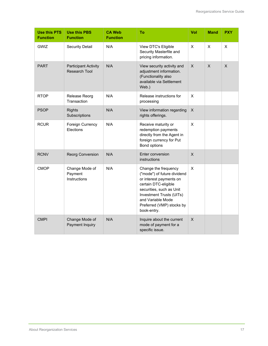| <b>Use this PTS</b><br><b>Function</b> | <b>Use this PBS</b><br><b>Function</b>              | <b>CA Web</b><br><b>Function</b> | To                                                                                                                                                                                                                              | Vol            | <b>Mand</b> | <b>PXY</b>     |
|----------------------------------------|-----------------------------------------------------|----------------------------------|---------------------------------------------------------------------------------------------------------------------------------------------------------------------------------------------------------------------------------|----------------|-------------|----------------|
| GWIZ                                   | <b>Security Detail</b>                              | N/A                              | View DTC's Eligible<br>Security Masterfile and<br>pricing information.                                                                                                                                                          | $\pmb{\times}$ | $\times$    | $\pmb{\times}$ |
| <b>PART</b>                            | <b>Participant Activity</b><br><b>Research Tool</b> | N/A                              | View security activity and<br>adjustment information.<br>(Functionality also<br>available via Settlement<br>Web.)                                                                                                               | $\times$       | $\times$    | $\sf X$        |
| <b>RTOP</b>                            | Release Reorg<br>Transaction                        | N/A                              | Release instructions for<br>processing                                                                                                                                                                                          | X              |             |                |
| <b>PSOP</b>                            | <b>Rights</b><br>Subscriptions                      | N/A                              | View information regarding<br>rights offerings.                                                                                                                                                                                 | X              |             |                |
| <b>RCUR</b>                            | Foreign Currency<br>Elections                       | N/A                              | Receive maturity or<br>redemption payments<br>directly from the Agent in<br>foreign currency for Put<br>Bond options                                                                                                            | X              |             |                |
| <b>RCNV</b>                            | Reorg Conversion                                    | N/A                              | Enter conversion<br>instructions                                                                                                                                                                                                | $\mathsf{X}$   |             |                |
| <b>CMOP</b>                            | Change Mode of<br>Payment<br>Instructions           | N/A                              | Change the frequency<br>("mode") of future dividend<br>or interest payments on<br>certain DTC-eligible<br>securities, such as Unit<br>Investment Trusts (UITs)<br>and Variable Mode<br>Preferred (VMP) stocks by<br>book-entry. | $\times$       |             |                |
| <b>CMPI</b>                            | Change Mode of<br>Payment Inquiry                   | N/A                              | Inquire about the current<br>mode of payment for a<br>specific issue.                                                                                                                                                           | $\times$       |             |                |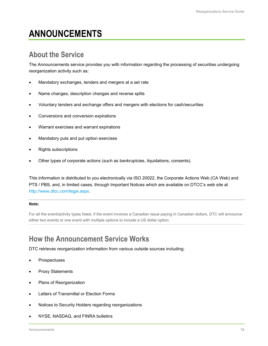# <span id="page-17-0"></span>**ANNOUNCEMENTS**

## <span id="page-17-1"></span>**About the Service**

The Announcements service provides you with information regarding the processing of securities undergoing reorganization activity such as:

- Mandatory exchanges, tenders and mergers at a set rate
- Name changes, description changes and reverse splits
- Voluntary tenders and exchange offers and mergers with elections for cash/securities
- Conversions and conversion expirations
- Warrant exercises and warrant expirations
- Mandatory puts and put option exercises
- Rights subscriptions
- Other types of corporate actions (such as bankruptcies, liquidations, consents).

This information is distributed to you electronically via ISO 20022, the Corporate Actions Web (CA Web) and PTS / PBS, and, in limited cases, through Important Notices which are available on DTCC's web site at [http://www.dtcc.com/legal.aspx.](http://www.dtcc.com/legal.aspx)

#### **Note:**

For all the event/activity types listed, if the event involves a Canadian issue paying in Canadian dollars, DTC will announce either two events or one event with multiple options to include a US dollar option.

### <span id="page-17-2"></span>**How the Announcement Service Works**

DTC retrieves reorganization information from various outside sources including:

- **Prospectuses**
- Proxy Statements
- Plans of Reorganization
- Letters of Transmittal or Election Forms
- Notices to Security Holders regarding reorganizations
- NYSE, NASDAQ, and FINRA bulletins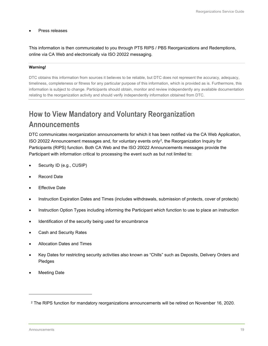#### • Press releases

This information is then communicated to you through PTS RIPS / PBS Reorganizations and Redemptions, online via CA Web and electronically via ISO 20022 messaging.

#### **Warning!**

DTC obtains this information from sources it believes to be reliable, but DTC does not represent the accuracy, adequacy, timeliness, completeness or fitness for any particular purpose of this information, which is provided as is. Furthermore, this information is subject to change. Participants should obtain, monitor and review independently any available documentation relating to the reorganization activity and should verify independently information obtained from DTC.

## <span id="page-18-0"></span>**How to View Mandatory and Voluntary Reorganization Announcements**

DTC communicates reorganization announcements for which it has been notified via the CA Web Application, ISO 20022 Announcement messages and, for voluntary events only<sup>2</sup>, the Reorganization Inquiry for Participants (RIPS) function. Both CA Web and the ISO 20022 Announcements messages provide the Participant with information critical to processing the event such as but not limited to:

- Security ID (e.g., CUSIP)
- Record Date
- **Effective Date**
- Instruction Expiration Dates and Times (includes withdrawals, submission of protects, cover of protects)
- Instruction Option Types including informing the Participant which function to use to place an instruction
- Identification of the security being used for encumbrance
- Cash and Security Rates
- Allocation Dates and Times
- Key Dates for restricting security activities also known as "Chills" such as Deposits, Delivery Orders and Pledges
- **Meeting Date**

<span id="page-18-1"></span><sup>2</sup> The RIPS function for mandatory reorganizations announcements will be retired on November 16, 2020.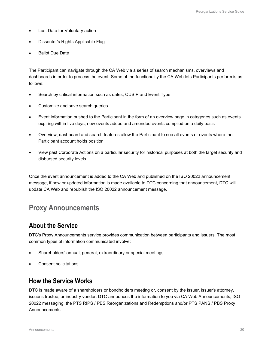- Last Date for Voluntary action
- Dissenter's Rights Applicable Flag
- **Ballot Due Date**

The Participant can navigate through the CA Web via a series of search mechanisms, overviews and dashboards in order to process the event. Some of the functionality the CA Web lets Participants perform is as follows:

- Search by critical information such as dates, CUSIP and Event Type
- Customize and save search queries
- Event information pushed to the Participant in the form of an overview page in categories such as events expiring within five days, new events added and amended events compiled on a daily basis
- Overview, dashboard and search features allow the Participant to see all events or events where the Participant account holds position
- View past Corporate Actions on a particular security for historical purposes at both the target security and disbursed security levels

Once the event announcement is added to the CA Web and published on the ISO 20022 announcement message, if new or updated information is made available to DTC concerning that announcement, DTC will update CA Web and republish the ISO 20022 announcement message.

## <span id="page-19-0"></span>**Proxy Announcements**

### <span id="page-19-1"></span>**About the Service**

DTC's Proxy Announcements service provides communication between participants and issuers. The most common types of information communicated involve:

- Shareholders' annual, general, extraordinary or special meetings
- Consent solicitations

### <span id="page-19-2"></span>**How the Service Works**

DTC is made aware of a shareholders or bondholders meeting or, consent by the issuer, issuer's attorney, issuer's trustee, or industry vendor. DTC announces the information to you via CA Web Announcements, ISO 20022 messaging, the PTS RIPS / PBS Reorganizations and Redemptions and/or PTS PANS / PBS Proxy Announcements.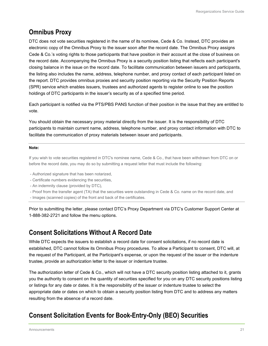### <span id="page-20-0"></span>**Omnibus Proxy**

DTC does not vote securities registered in the name of its nominee, Cede & Co. Instead, DTC provides an electronic copy of the Omnibus Proxy to the issuer soon after the record date. The Omnibus Proxy assigns Cede & Co.'s voting rights to those participants that have position in their account at the close of business on the record date. Accompanying the Omnibus Proxy is a security position listing that reflects each participant's closing balance in the issue on the record date. To facilitate communication between issuers and participants, the listing also includes the name, address, telephone number, and proxy contact of each participant listed on the report. DTC provides omnibus proxies and security position reporting via the Security Position Reports (SPR) service which enables issuers, trustees and authorized agents to register online to see the position holdings of DTC participants in the issuer's security as of a specified time period.

Each participant is notified via the PTS/PBS PANS function of their position in the issue that they are entitled to vote.

You should obtain the necessary proxy material directly from the issuer. It is the responsibility of DTC participants to maintain current name, address, telephone number, and proxy contact information with DTC to facilitate the communication of proxy materials between issuer and participants.

#### **Note:**

If you wish to vote securities registered in DTC's nominee name, Cede & Co., that have been withdrawn from DTC on or before the record date, you may do so by submitting a request letter that must include the following:

- Authorized signature that has been notarized,
- Certificate numbers evidencing the securities,
- An indemnity clause (provided by DTC),
- Proof from the transfer agent (TA) that the securities were outstanding in Cede & Co. name on the record date, and
- Images (scanned copies) of the front and back of the certificates.

Prior to submitting the letter, please contact DTC's Proxy Department via DTC's Customer Support Center at 1-888-382-2721 and follow the menu options.

### <span id="page-20-1"></span>**Consent Solicitations Without A Record Date**

While DTC expects the issuers to establish a record date for consent solicitations, if no record date is established, DTC cannot follow its Omnibus Proxy procedures. To allow a Participant to consent, DTC will, at the request of the Participant, at the Participant's expense, or upon the request of the issuer or the indenture trustee, provide an authorization letter to the issuer or indenture trustee.

The authorization letter of Cede & Co., which will not have a DTC security position listing attached to it, grants you the authority to consent on the quantity of securities specified for you on any DTC security positions listing or listings for any date or dates. It is the responsibility of the issuer or indenture trustee to select the appropriate date or dates on which to obtain a security position listing from DTC and to address any matters resulting from the absence of a record date.

### <span id="page-20-2"></span>**Consent Solicitation Events for Book-Entry-Only (BEO) Securities**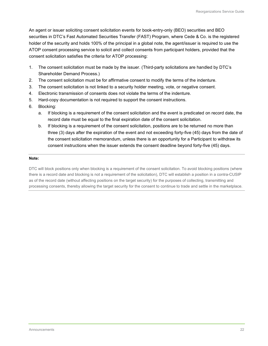An agent or issuer soliciting consent solicitation events for book-entry-only (BEO) securities and BEO securities in DTC's Fast Automated Securities Transfer (FAST) Program, where Cede & Co. is the registered holder of the security and holds 100% of the principal in a global note, the agent/issuer is required to use the ATOP consent processing service to solicit and collect consents from participant holders, provided that the consent solicitation satisfies the criteria for ATOP processing:

- 1. The consent solicitation must be made by the issuer. (Third-party solicitations are handled by DTC's Shareholder Demand Process.)
- 2. The consent solicitation must be for affirmative consent to modify the terms of the indenture.
- 3. The consent solicitation is not linked to a security holder meeting, vote, or negative consent.
- 4. Electronic transmission of consents does not violate the terms of the indenture.
- 5. Hard-copy documentation is not required to support the consent instructions.
- 6. Blocking:
	- a. If blocking is a requirement of the consent solicitation and the event is predicated on record date, the record date must be equal to the final expiration date of the consent solicitation.
	- b. If blocking is a requirement of the consent solicitation, positions are to be returned no more than three (3) days after the expiration of the event and not exceeding forty-five (45) days from the date of the consent solicitation memorandum, unless there is an opportunity for a Participant to withdraw its consent instructions when the issuer extends the consent deadline beyond forty-five (45) days.

#### **Note:**

DTC will block positions only when blocking is a requirement of the consent solicitation. To avoid blocking positions (where there is a record date and blocking is not a requirement of the solicitation), DTC will establish a position in a contra-CUSIP as of the record date (without affecting positions on the target security) for the purposes of collecting, transmitting and processing consents, thereby allowing the target security for the consent to continue to trade and settle in the marketplace.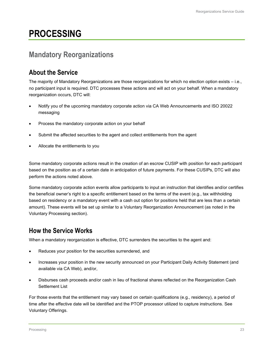# <span id="page-22-0"></span>**PROCESSING**

# <span id="page-22-1"></span>**Mandatory Reorganizations**

### <span id="page-22-2"></span>**About the Service**

The majority of Mandatory Reorganizations are those reorganizations for which no election option exists – i.e., no participant input is required. DTC processes these actions and will act on your behalf. When a mandatory reorganization occurs, DTC will:

- Notify you of the upcoming mandatory corporate action via CA Web Announcements and ISO 20022 messaging
- Process the mandatory corporate action on your behalf
- Submit the affected securities to the agent and collect entitlements from the agent
- Allocate the entitlements to you

Some mandatory corporate actions result in the creation of an escrow CUSIP with position for each participant based on the position as of a certain date in anticipation of future payments. For these CUSIPs, DTC will also perform the actions noted above.

Some mandatory corporate action events allow participants to input an instruction that identifies and/or certifies the beneficial owner's right to a specific entitlement based on the terms of the event (e.g., tax withholding based on residency or a mandatory event with a cash out option for positions held that are less than a certain amount). These events will be set up similar to a Voluntary Reorganization Announcement (as noted in the Voluntary Processing section).

### <span id="page-22-3"></span>**How the Service Works**

When a mandatory reorganization is effective, DTC surrenders the securities to the agent and:

- Reduces your position for the securities surrendered, and
- Increases your position in the new security announced on your Participant Daily Activity Statement (and available via CA Web), and/or,
- Disburses cash proceeds and/or cash in lieu of fractional shares reflected on the Reorganization Cash Settlement List

For those events that the entitlement may vary based on certain qualifications (e.g., residency), a period of time after the effective date will be identified and the PTOP processor utilized to capture instructions. See Voluntary Offerings.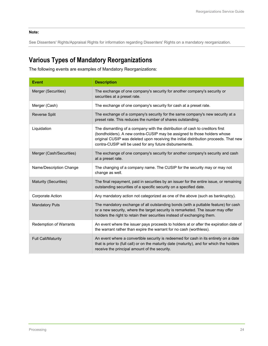See Dissenters' Rights/Appraisal Rights for information regarding Dissenters' Rights on a mandatory reorganization.

### <span id="page-23-0"></span>**Various Types of Mandatory Reorganizations**

The following events are examples of Mandatory Reorganizations:

| <b>Event</b>                  | <b>Description</b>                                                                                                                                                                                                                                                                                            |
|-------------------------------|---------------------------------------------------------------------------------------------------------------------------------------------------------------------------------------------------------------------------------------------------------------------------------------------------------------|
| Merger (Securities)           | The exchange of one company's security for another company's security or<br>securities at a preset rate.                                                                                                                                                                                                      |
| Merger (Cash)                 | The exchange of one company's security for cash at a preset rate.                                                                                                                                                                                                                                             |
| <b>Reverse Split</b>          | The exchange of a company's security for the same company's new security at a<br>preset rate. This reduces the number of shares outstanding.                                                                                                                                                                  |
| Liquidation                   | The dismantling of a company with the distribution of cash to creditors first<br>(bondholders). A new contra-CUSIP may be assigned to those holders whose<br>original CUSIP was deleted upon receiving the initial distribution proceeds. That new<br>contra-CUSIP will be used for any future disbursements. |
| Merger (Cash/Securities)      | The exchange of one company's security for another company's security and cash<br>at a preset rate.                                                                                                                                                                                                           |
| Name/Description Change       | The changing of a company name. The CUSIP for the security may or may not<br>change as well.                                                                                                                                                                                                                  |
| Maturity (Securities)         | The final repayment, paid in securities by an issuer for the entire issue, or remaining<br>outstanding securities of a specific security on a specified date.                                                                                                                                                 |
| Corporate Action              | Any mandatory action not categorized as one of the above (such as bankruptcy).                                                                                                                                                                                                                                |
| <b>Mandatory Puts</b>         | The mandatory exchange of all outstanding bonds (with a puttable feature) for cash<br>or a new security, where the target security is remarketed. The issuer may offer<br>holders the right to retain their securities instead of exchanging them.                                                            |
| <b>Redemption of Warrants</b> | An event where the issuer pays proceeds to holders at or after the expiration date of<br>the warrant rather than expire the warrant for no cash (worthless).                                                                                                                                                  |
| <b>Full Call/Maturity</b>     | An event where a convertible security is redeemed for cash in its entirety on a date<br>that is prior to (full call) or on the maturity date (maturity), and for which the holders<br>receive the principal amount of the security.                                                                           |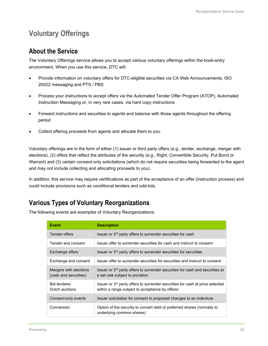# <span id="page-24-0"></span>**Voluntary Offerings**

### <span id="page-24-1"></span>**About the Service**

The Voluntary Offerings service allows you to accept various voluntary offerings within the book-entry environment. When you use this service, DTC will:

- Provide information on voluntary offers for DTC-eligible securities via CA Web Announcements, ISO 20022 messaging and PTS / PBS
- Process your instructions to accept offers via the Automated Tender Offer Program (ATOP), Automated Instruction Messaging or, in very rare cases, via hard copy instructions
- Forward instructions and securities to agents and balance with those agents throughout the offering period
- Collect offering proceeds from agents and allocate them to you.

Voluntary offerings are in the form of either (1) issuer or third party offers (e.g., tender, exchange, merger with elections), (2) offers that reflect the attributes of the security (e.g., Right, Convertible Security, Put Bond or Warrant) and (3) certain consent-only solicitations (which do not require securities being forwarded to the agent and may not include collecting and allocating proceeds to you).

In addition, this service may require certifications as part of the acceptance of an offer (instruction process) and could include provisions such as conditional tenders and odd-lots.

### <span id="page-24-2"></span>**Various Types of Voluntary Reorganizations**

The following events are examples of Voluntary Reorganizations:

| <b>Event</b>                                    | <b>Description</b>                                                                                                                           |
|-------------------------------------------------|----------------------------------------------------------------------------------------------------------------------------------------------|
| Tender offers                                   | Issuer or 3rd party offers to surrender securities for cash                                                                                  |
| Tender and consent                              | Issuer offer to surrender securities for cash and instruct to consent                                                                        |
| Exchange offers                                 | Issuer or 3 <sup>rd</sup> party offers to surrender securities for securities                                                                |
| Exchange and consent                            | Issuer offer to surrender securities for securities and instruct to consent                                                                  |
| Mergers with elections<br>(cash and securities) | Issuer or 3 <sup>rd</sup> party offers to surrender securities for cash and securities at<br>a set rate subject to proration                 |
| Bid tenders/<br>Dutch auctions                  | Issuer or 3 <sup>rd</sup> party offers to surrender securities for cash at price selected<br>within a range subject to acceptance by offeror |
| Consent-only events                             | Issuer solicitation for consent to proposed changes to an indenture                                                                          |
| Conversion                                      | Option of the security to convert debt or preferred shares (normally to<br>underlying common shares)                                         |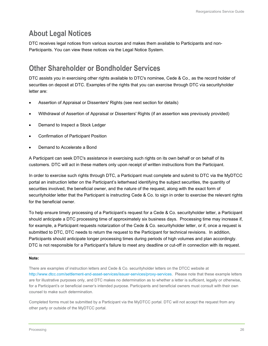# <span id="page-25-0"></span>**About Legal Notices**

DTC receives legal notices from various sources and makes them available to Participants and non-Participants. You can view these notices via the Legal Notice System.

## <span id="page-25-1"></span>**Other Shareholder or Bondholder Services**

DTC assists you in exercising other rights available to DTC's nominee, Cede & Co., as the record holder of securities on deposit at DTC. Examples of the rights that you can exercise through DTC via securityholder letter are:

- Assertion of Appraisal or Dissenters' Rights (see next section for details)
- Withdrawal of Assertion of Appraisal or Dissenters' Rights (if an assertion was previously provided)
- Demand to Inspect a Stock Ledger
- Confirmation of Participant Position
- Demand to Accelerate a Bond

A Participant can seek DTC's assistance in exercising such rights on its own behalf or on behalf of its customers. DTC will act in these matters only upon receipt of written instructions from the Participant.

In order to exercise such rights through DTC, a Participant must complete and submit to DTC via the MyDTCC portal an instruction letter on the Participant's letterhead identifying the subject securities, the quantity of securities involved, the beneficial owner, and the nature of the request, along with the exact form of securityholder letter that the Participant is instructing Cede & Co. to sign in order to exercise the relevant rights for the beneficial owner.

To help ensure timely processing of a Participant's request for a Cede & Co. securityholder letter, a Participant should anticipate a DTC processing time of approximately six business days. Processing time may increase if, for example, a Participant requests notarization of the Cede & Co. securityholder letter, or if, once a request is submitted to DTC, DTC needs to return the request to the Participant for technical revisions. In addition, Participants should anticipate longer processing times during periods of high volumes and plan accordingly. DTC is not responsible for a Participant's failure to meet any deadline or cut-off in connection with its request.

#### **Note:**

There are examples of instruction letters and Cede & Co. securityholder letters on the DTCC website at [http://www.dtcc.com/settlement-and-asset-services/issuer-services/proxy-services.](http://www.dtcc.com/settlement-and-asset-services/issuer-services/proxy-services) Please note that these example letters are for illustrative purposes only, and DTC makes no determination as to whether a letter is sufficient, legally or otherwise, for a Participant's or beneficial owner's intended purpose. Participants and beneficial owners must consult with their own counsel to make such determination.

Completed forms must be submitted by a Participant via the MyDTCC portal. DTC will not accept the request from any other party or outside of the MyDTCC portal.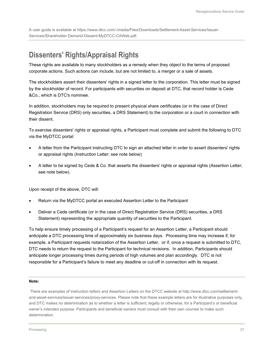A user guide is available at https://www.dtcc.com/-/media/Files/Downloads/Settlement-Asset-Services/Issuer-Services/Shareholder-Demand-Dissent-MyDTCC-CAWeb.pdf.

# <span id="page-26-0"></span>**Dissenters' Rights/Appraisal Rights**

These rights are available to many stockholders as a remedy when they object to the terms of proposed corporate actions. Such actions can include, but are not limited to, a merger or a sale of assets.

The stockholders assert their dissenters' rights in a signed letter to the corporation. This letter must be signed by the stockholder of record. For participants with securities on deposit at DTC, that record holder is Cede &Co., which is DTC's nominee.

In addition, stockholders may be required to present physical share certificates (or in the case of Direct Registration Service (DRS) only securities, a DRS Statement) to the corporation or a court in connection with their dissent.

To exercise dissenters' rights or appraisal rights, a Participant must complete and submit the following to DTC via the MyDTCC portal:

- A letter from the Participant instructing DTC to sign an attached letter in order to assert dissenters' rights or appraisal rights (Instruction Letter; see note below)
- A letter to be signed by Cede & Co. that asserts the dissenters' rights or appraisal rights (Assertion Letter; see note below).

Upon receipt of the above, DTC will:

- Return via the MyDTCC portal an executed Assertion Letter to the Participant
- Deliver a Cede certificate (or in the case of Direct Registration Service (DRS) securities, a DRS Statement) representing the appropriate quantity of securities to the Participant.

To help ensure timely processing of a Participant's request for an Assertion Letter, a Participant should anticipate a DTC processing time of approximately six business days. Processing time may increase if, for example, a Participant requests notarization of the Assertion Letter, or if, once a request is submitted to DTC, DTC needs to return the request to the Participant for technical revisions. In addition, Participants should anticipate longer processing times during periods of high volumes and plan accordingly. DTC is not responsible for a Participant's failure to meet any deadline or cut-off in connection with its request.

#### **Note:**

There are examples of instruction letters and Assertion Letters on the DTCC website at http://www.dtcc.com/settlementand-asset-services/issuer-services/proxy-services. Please note that these example letters are for illustrative purposes only, and DTC makes no determination as to whether a letter is sufficient, legally or otherwise, for a Participant's or beneficial owner's intended purpose. Participants and beneficial owners must consult with their own counsel to make such determination.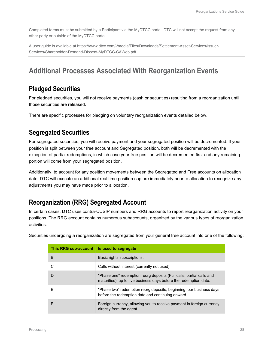Completed forms must be submitted by a Participant via the MyDTCC portal. DTC will not accept the request from any other party or outside of the MyDTCC portal.

A user guide is available at https://www.dtcc.com/-/media/Files/Downloads/Settlement-Asset-Services/Issuer-Services/Shareholder-Demand-Dissent-MyDTCC-CAWeb.pdf.

# <span id="page-27-0"></span>**Additional Processes Associated With Reorganization Events**

### <span id="page-27-1"></span>**Pledged Securities**

For pledged securities, you will not receive payments (cash or securities) resulting from a reorganization until those securities are released.

There are specific processes for pledging on voluntary reorganization events detailed below.

### <span id="page-27-2"></span>**Segregated Securities**

For segregated securities, you will receive payment and your segregated position will be decremented. If your position is split between your free account and Segregated position, both will be decremented with the exception of partial redemptions, in which case your free position will be decremented first and any remaining portion will come from your segregated position.

Additionally, to account for any position movements between the Segregated and Free accounts on allocation date, DTC will execute an additional real time position capture immediately prior to allocation to recognize any adjustments you may have made prior to allocation.

### <span id="page-27-3"></span>**Reorganization (RRG) Segregated Account**

In certain cases, DTC uses contra-CUSIP numbers and RRG accounts to report reorganization activity on your positions. The RRG account contains numerous subaccounts, organized by the various types of reorganization activities.

| Securities undergoing a reorganization are segregated from your general free account into one of the following: |  |
|-----------------------------------------------------------------------------------------------------------------|--|
|-----------------------------------------------------------------------------------------------------------------|--|

| This RRG sub-account | Is used to segregate                                                                                                                      |
|----------------------|-------------------------------------------------------------------------------------------------------------------------------------------|
| B                    | Basic rights subscriptions.                                                                                                               |
|                      | Calls without interest (currently not used).                                                                                              |
|                      | "Phase one" redemption reorg deposits (Full calls, partial calls and<br>maturities), up to five business days before the redemption date. |
| F                    | "Phase two" redemption reorg deposits, beginning four business days<br>before the redemption date and continuing onward.                  |
|                      | Foreign currency, allowing you to receive payment in foreign currency<br>directly from the agent.                                         |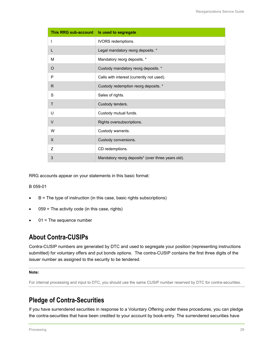| <b>This RRG sub-account</b> | Is used to segregate                              |
|-----------------------------|---------------------------------------------------|
|                             | IVORS redemptions.                                |
| L                           | Legal mandatory reorg deposits. *                 |
| М                           | Mandatory reorg deposits. *                       |
| O                           | Custody mandatory reorg deposits. *               |
| P                           | Calls with interest (currently not used).         |
| R                           | Custody redemption reorg deposits. *              |
| S                           | Sales of rights.                                  |
| т                           | Custody tenders.                                  |
| U                           | Custody mutual funds.                             |
| $\vee$                      | Rights oversubscriptions.                         |
| W                           | Custody warrants.                                 |
| X                           | Custody conversions.                              |
| Z                           | CD redemptions.                                   |
| 3                           | Mandatory reorg deposits* (over three years old). |

RRG accounts appear on your statements in this basic format:

B 059-01

- $B =$  The type of instruction (in this case, basic rights subscriptions)
- $059$  = The activity code (in this case, rights)
- $01$  = The sequence number

### <span id="page-28-0"></span>**About Contra-CUSIPs**

Contra-CUSIP numbers are generated by DTC and used to segregate your position (representing instructions submitted) for voluntary offers and put bonds options. The contra-CUSIP contains the first three digits of the issuer number as assigned to the security to be tendered.

#### **Note:**

For internal processing and input to DTC, you should use the same CUSIP number reserved by DTC for contra-securities.

### <span id="page-28-1"></span>**Pledge of Contra-Securities**

If you have surrendered securities in response to a Voluntary Offering under these procedures, you can pledge the contra-securities that have been credited to your account by book-entry. The surrendered securities have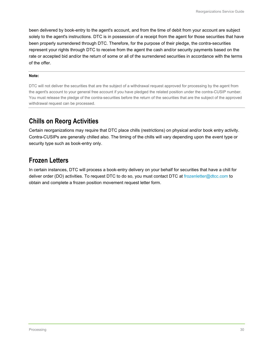been delivered by book-entry to the agent's account, and from the time of debit from your account are subject solely to the agent's instructions. DTC is in possession of a receipt from the agent for those securities that have been properly surrendered through DTC. Therefore, for the purpose of their pledge, the contra-securities represent your rights through DTC to receive from the agent the cash and/or security payments based on the rate or accepted bid and/or the return of some or all of the surrendered securities in accordance with the terms of the offer.

#### **Note:**

DTC will not deliver the securities that are the subject of a withdrawal request approved for processing by the agent from the agent's account to your general free account if you have pledged the related position under the contra-CUSIP number. You must release the pledge of the contra-securities before the return of the securities that are the subject of the approved withdrawal request can be processed.

#### <span id="page-29-0"></span>**Chills on Reorg Activities**

Certain reorganizations may require that DTC place chills (restrictions) on physical and/or book entry activity. Contra-CUSIPs are generally chilled also. The timing of the chills will vary depending upon the event type or security type such as book-entry only.

#### <span id="page-29-1"></span>**Frozen Letters**

In certain instances, DTC will process a book-entry delivery on your behalf for securities that have a chill for deliver order (DO) activities. To request DTC to do so, you must contact DTC at [frozenletter@dtcc.com](mailto:frozenletter@dtcc.com) to obtain and complete a frozen position movement request letter form.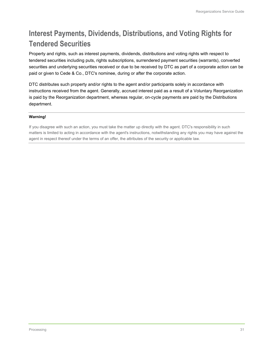# <span id="page-30-0"></span>**Interest Payments, Dividends, Distributions, and Voting Rights for Tendered Securities**

Property and rights, such as interest payments, dividends, distributions and voting rights with respect to tendered securities including puts, rights subscriptions, surrendered payment securities (warrants), converted securities and underlying securities received or due to be received by DTC as part of a corporate action can be paid or given to Cede & Co., DTC's nominee, during or after the corporate action.

DTC distributes such property and/or rights to the agent and/or participants solely in accordance with instructions received from the agent. Generally, accrued interest paid as a result of a Voluntary Reorganization is paid by the Reorganization department, whereas regular, on-cycle payments are paid by the Distributions department.

#### **Warning!**

If you disagree with such an action, you must take the matter up directly with the agent. DTC's responsibility in such matters is limited to acting in accordance with the agent's instructions, notwithstanding any rights you may have against the agent in respect thereof under the terms of an offer, the attributes of the security or applicable law.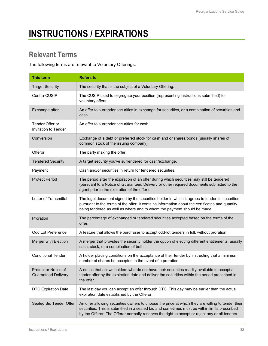# <span id="page-31-0"></span>**INSTRUCTIONS / EXPIRATIONS**

# <span id="page-31-1"></span>**Relevant Terms**

The following terms are relevant to Voluntary Offerings:

| <b>This term</b>                                   | <b>Refers to</b>                                                                                                                                                                                                                                                                                     |
|----------------------------------------------------|------------------------------------------------------------------------------------------------------------------------------------------------------------------------------------------------------------------------------------------------------------------------------------------------------|
| <b>Target Security</b>                             | The security that is the subject of a Voluntary Offering.                                                                                                                                                                                                                                            |
| Contra-CUSIP                                       | The CUSIP used to segregate your position (representing instructions submitted) for<br>voluntary offers.                                                                                                                                                                                             |
| Exchange offer                                     | An offer to surrender securities in exchange for securities, or a combination of securities and<br>cash.                                                                                                                                                                                             |
| Tender Offer or<br>Invitation to Tender            | An offer to surrender securities for cash.                                                                                                                                                                                                                                                           |
| Conversion                                         | Exchange of a debt or preferred stock for cash and or shares/bonds (usually shares of<br>common stock of the issuing company)                                                                                                                                                                        |
| Offeror                                            | The party making the offer.                                                                                                                                                                                                                                                                          |
| <b>Tendered Security</b>                           | A target security you've surrendered for cash/exchange.                                                                                                                                                                                                                                              |
| Payment                                            | Cash and/or securities in return for tendered securities.                                                                                                                                                                                                                                            |
| <b>Protect Period</b>                              | The period after the expiration of an offer during which securities may still be tendered<br>(pursuant to a Notice of Guaranteed Delivery or other required documents submitted to the<br>agent prior to the expiration of the offer).                                                               |
| Letter of Transmittal                              | The legal document signed by the securities holder in which it agrees to tender its securities<br>pursuant to the terms of the offer. It contains information about the certificates and quantity<br>being tendered as well as where and to whom the payment should be made.                         |
| Proration                                          | The percentage of exchanged or tendered securities accepted based on the terms of the<br>offer.                                                                                                                                                                                                      |
| Odd Lot Preference                                 | A feature that allows the purchaser to accept odd-lot tenders in full, without proration.                                                                                                                                                                                                            |
| Merger with Election                               | A merger that provides the security holder the option of electing different entitlements, usually<br>cash, stock, or a combination of both.                                                                                                                                                          |
| <b>Conditional Tender</b>                          | A holder placing conditions on the acceptance of their tender by instructing that a minimum<br>number of shares be accepted in the event of a proration.                                                                                                                                             |
| Protect or Notice of<br><b>Guaranteed Delivery</b> | A notice that allows holders who do not have their securities readily available to accept a<br>tender offer by the expiration date and deliver the securities within the period prescribed in<br>the offer.                                                                                          |
| <b>DTC Expiration Date</b>                         | The last day you can accept an offer through DTC. This day may be earlier than the actual<br>expiration date established by the Offeror.                                                                                                                                                             |
| Sealed Bid Tender Offer                            | An offer allowing securities owners to choose the price at which they are willing to tender their<br>securities. This is submitted in a sealed bid and sometimes must be within limits prescribed<br>by the Offeror. The Offeror normally reserves the right to accept or reject any or all tenders. |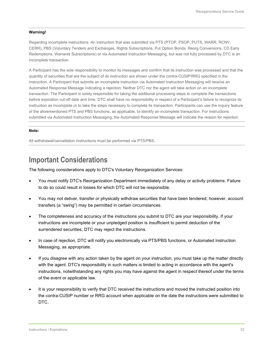#### **Warning!**

Regarding incomplete instructions: An instruction that was submitted via PTS (PTOP, PSOP, PUTS, WARR, RCNV, CERR), PBS (Voluntary Tenders and Exchanges, Rights Subscriptions, Put Option Bonds, Reorg Conversions, CD Early Redemptions, Warrants Subscriptions) or via Automated Instruction Messaging, but was not fully processed by DTC is an incomplete transaction.

A Participant has the sole responsibility to monitor its messages and confirm that its instruction was processed and that the quantity of securities that are the subject of its instruction are shown under the contra-CUSIP/RRG specified in the instruction. A Participant that submits an incomplete instruction via Automated Instruction Messaging will receive an Automated Response Message indicating a rejection. Neither DTC nor the agent will take action on an incomplete transaction. The Participant is solely responsible for taking the additional processing steps to complete the transactions before expiration cut-off date and time. DTC shall have no responsibility in respect of a Participant's failure to recognize its instruction as incomplete or to take the steps necessary to complete its transaction. Participants can use the inquiry feature of the aforementioned PTS and PBS functions, as applicable, to identify an incomplete transaction. For instructions submitted via Automated Instruction Messaging, the Automated Response Message will indicate the reason for rejection.

#### **Note:**

All withdrawal/cancellation instructions must be performed via PTS/PBS.

### <span id="page-32-0"></span>**Important Considerations**

The following considerations apply to DTC's Voluntary Reorganization Services:

- You must notify DTC's Reorganization Department immediately of any delay or activity problems. Failure to do so could result in losses for which DTC will not be responsible.
- You may not deliver, transfer or physically withdraw securities that have been tendered; however, account transfers (a "swing") may be permitted in certain circumstances.
- The completeness and accuracy of the instructions you submit to DTC are your responsibility. If your instructions are incomplete or your unpledged position is insufficient to permit deduction of the surrendered securities, DTC may reject the instructions.
- In case of rejection, DTC will notify you electronically via PTS/PBS functions, or Automated Instruction Messaging, as appropriate.
- If you disagree with any action taken by the agent on your instruction, you must take up the matter directly with the agent. DTC's responsibility in such matters is limited to acting in accordance with the agent's instructions, notwithstanding any rights you may have against the agent in respect thereof under the terms of the event or applicable law.
- It is your responsibility to verify that DTC received the instructions and moved the instructed position into the contra-CUSIP number or RRG account when applicable on the date the instructions were submitted to DTC.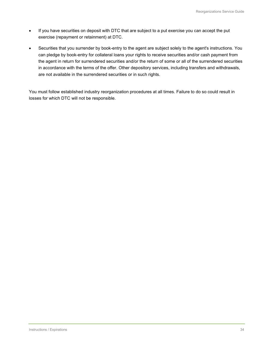- If you have securities on deposit with DTC that are subject to a put exercise you can accept the put exercise (repayment or retainment) at DTC.
- Securities that you surrender by book-entry to the agent are subject solely to the agent's instructions. You can pledge by book-entry for collateral loans your rights to receive securities and/or cash payment from the agent in return for surrendered securities and/or the return of some or all of the surrendered securities in accordance with the terms of the offer. Other depository services, including transfers and withdrawals, are not available in the surrendered securities or in such rights.

You must follow established industry reorganization procedures at all times. Failure to do so could result in losses for which DTC will not be responsible.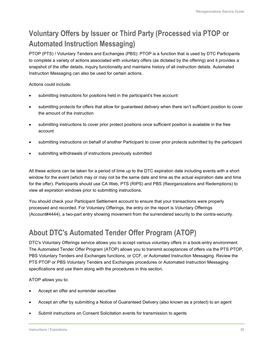# <span id="page-34-0"></span>**Voluntary Offers by Issuer or Third Party (Processed via PTOP or Automated Instruction Messaging)**

PTOP (PTS) / Voluntary Tenders and Exchanges (PBS): PTOP is a function that is used by DTC Participants to complete a variety of actions associated with voluntary offers (as dictated by the offering) and it provides a snapshot of the offer details, inquiry functionality and maintains history of all instruction details. Automated Instruction Messaging can also be used for certain actions.

Actions could include:

- submitting instructions for positions held in the participant's free account
- submitting protects for offers that allow for guaranteed delivery when there isn't sufficient position to cover the amount of the instruction
- submitting instructions to cover prior protect positions once sufficient position is available in the free account
- submitting instructions on behalf of another Participant to cover prior protects submitted by the participant
- submitting withdrawals of instructions previously submitted

All these actions can be taken for a period of time up to the DTC expiration date including events with a short window for the event (which may or may not be the same date and time as the actual expiration date and time for the offer). Participants should use CA Web, PTS (RIPS) and PBS (Reorganizations and Redemptions) to view all expiration windows prior to submitting instructions.

You should check your Participant Settlement account to ensure that your transactions were properly processed and recorded. For Voluntary Offerings, the entry on the report is Voluntary Offerings (Account#4444), a two-part entry showing movement from the surrendered security to the contra-security.

# <span id="page-34-1"></span>**About DTC's Automated Tender Offer Program (ATOP)**

DTC's Voluntary Offerings service allows you to accept various voluntary offers in a book-entry environment. The Automated Tender Offer Program (ATOP) allows you to transmit acceptances of offers via the PTS PTOP, PBS Voluntary Tenders and Exchanges functions, or CCF, or Automated Instruction Messaging. Review the PTS PTOP or PBS Voluntary Tenders and Exchanges procedures or Automated Instruction Messaging specifications and use them along with the procedures in this section.

ATOP allows you to:

- Accept an offer and surrender securities
- Accept an offer by submitting a Notice of Guaranteed Delivery (also known as a protect) to an agent
- Submit instructions on Consent Solicitation events for transmission to agents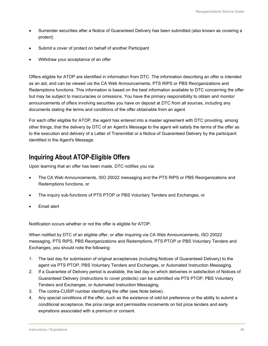- Surrender securities after a Notice of Guaranteed Delivery has been submitted (also known as covering a protect)
- Submit a cover of protect on behalf of another Participant
- Withdraw your acceptance of an offer

Offers eligible for ATOP are identified in information from DTC. The information describing an offer is intended as an aid, and can be viewed via the CA Web Announcements, PTS RIPS or PBS Reorganizations and Redemptions functions. This information is based on the best information available to DTC concerning the offer but may be subject to inaccuracies or omissions. You have the primary responsibility to obtain and monitor announcements of offers involving securities you have on deposit at DTC from all sources, including any documents stating the terms and conditions of the offer obtainable from an agent.

For each offer eligible for ATOP, the agent has entered into a master agreement with DTC providing, among other things, that the delivery by DTC of an Agent's Message to the agent will satisfy the terms of the offer as to the execution and delivery of a Letter of Transmittal or a Notice of Guaranteed Delivery by the participant identified in the Agent's Message.

### <span id="page-35-0"></span>**Inquiring About ATOP-Eligible Offers**

Upon learning that an offer has been made, DTC notifies you via:

- The CA Web Announcements, ISO 20022 messaging and the PTS RIPS or PBS Reorganizations and Redemptions functions, or
- The inquiry sub-functions of PTS PTOP or PBS Voluntary Tenders and Exchanges, or
- Email alert

Notification occurs whether or not the offer is eligible for ATOP.

When notified by DTC of an eligible offer, or after inquiring via CA Web Announcements, ISO 20022 messaging, PTS RIPS, PBS Reorganizations and Redemptions, PTS PTOP or PBS Voluntary Tenders and Exchanges, you should note the following:

- 1. The last day for submission of original acceptances (including Notices of Guaranteed Delivery) to the agent via PTS PTOP, PBS Voluntary Tenders and Exchanges, or Automated Instruction Messaging.
- 2. If a Guarantee of Delivery period is available, the last day on which deliveries in satisfaction of Notices of Guaranteed Delivery (instructions to cover protects) can be submitted via PTS PTOP, PBS Voluntary Tenders and Exchanges, or Automated Instruction Messaging.
- 3. The contra-CUSIP number identifying the offer (see Note below).
- 4. Any special conditions of the offer, such as the existence of odd-lot preference or the ability to submit a conditional acceptance, the price range and permissible increments on bid price tenders and early expirations associated with a premium or consent.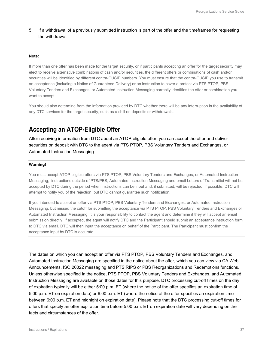5. If a withdrawal of a previously submitted instruction is part of the offer and the timeframes for requesting the withdrawal.

#### **Note:**

If more than one offer has been made for the target security, or if participants accepting an offer for the target security may elect to receive alternative combinations of cash and/or securities, the different offers or combinations of cash and/or securities will be identified by different contra-CUSIP numbers. You must ensure that the contra-CUSIP you use to transmit an acceptance (including a Notice of Guaranteed Delivery) or an instruction to cover a protect via PTS PTOP, PBS Voluntary Tenders and Exchanges, or Automated Instruction Messaging correctly identifies the offer or combination you want to accept.

You should also determine from the information provided by DTC whether there will be any interruption in the availability of any DTC services for the target security, such as a chill on deposits or withdrawals.

### **Accepting an ATOP-Eligible Offer**

After receiving information from DTC about an ATOP-eligible offer, you can accept the offer and deliver securities on deposit with DTC to the agent via PTS PTOP, PBS Voluntary Tenders and Exchanges, or Automated Instruction Messaging.

#### **Warning!**

You must accept ATOP-eligible offers via PTS PTOP, PBS Voluntary Tenders and Exchanges, or Automated Instruction Messaging; instructions outside of PTS/PBS, Automated Instruction Messaging and email Letters of Transmittal will not be accepted by DTC during the period when instructions can be input and, if submitted, will be rejected. If possible, DTC will attempt to notify you of the rejection, but DTC cannot guarantee such notification.

If you intended to accept an offer via PTS PTOP, PBS Voluntary Tenders and Exchanges, or Automated Instruction Messaging, but missed the cutoff for submitting the acceptance via PTS PTOP, PBS Voluntary Tenders and Exchanges or Automated Instruction Messaging, it is your responsibility to contact the agent and determine if they will accept an email submission directly. If accepted, the agent will notify DTC and the Participant should submit an acceptance instruction form to DTC via email. DTC will then input the acceptance on behalf of the Participant. The Participant must confirm the acceptance input by DTC is accurate.

The dates on which you can accept an offer via PTS PTOP, PBS Voluntary Tenders and Exchanges, and Automated Instruction Messaging are specified in the notice about the offer, which you can view via CA Web Announcements, ISO 20022 messaging and PTS RIPS or PBS Reorganizations and Redemptions functions. Unless otherwise specified in the notice, PTS PTOP, PBS Voluntary Tenders and Exchanges, and Automated Instruction Messaging are available on those dates for this purpose. DTC processing cut-off times on the day of expiration typically will be either 5:00 p.m. ET (where the notice of the offer specifies an expiration time of 5:00 p.m. ET on expiration date) or 6:00 p.m. ET (where the notice of the offer specifies an expiration time between 6:00 p.m. ET and midnight on expiration date). Please note that the DTC processing cut-off times for offers that specify an offer expiration time before 5:00 p.m. ET on expiration date will vary depending on the facts and circumstances of the offer.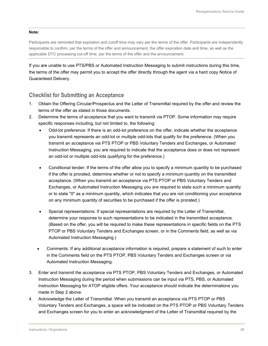#### **Note:**

Participants are reminded that expiration and cutoff time may vary per the terms of the offer. Participants are independently responsible to confirm, per the terms of the offer and announcement, the offer expiration date and time, as well as the applicable DTC processing cut-off time, per the terms of the offer and the announcement.

If you are unable to use PTS/PBS or Automated Instruction Messaging to submit instructions during this time, the terms of the offer may permit you to accept the offer directly through the agent via a hard copy Notice of Guaranteed Delivery.

### **Checklist for Submitting an Acceptance**

- 1. Obtain the Offering Circular/Prospectus and the Letter of Transmittal required by the offer and review the terms of the offer as stated in those documents.
- 2. Determine the terms of acceptance that you want to transmit via PTOP. Some information may require specific responses including, but not limited to, the following:
	- Odd-lot preference: If there is an odd-lot preference on the offer, indicate whether the acceptance you transmit represents an odd-lot or multiple odd-lots that qualify for the preference. (When you transmit an acceptance via PTS PTOP or PBS Voluntary Tenders and Exchanges, or Automated Instruction Messaging, you are required to indicate that the acceptance does or does not represent an odd-lot or multiple odd-lots qualifying for the preference.)
	- Conditional tender: If the terms of the offer allow you to specify a minimum quantity to be purchased if the offer is prorated, determine whether or not to specify a minimum quantity on the transmitted acceptance. (When you transmit an acceptance via PTS PTOP or PBS Voluntary Tenders and Exchanges, or Automated Instruction Messaging you are required to state such a minimum quantity or to state "0" as a minimum quantity, which indicates that you are not conditioning your acceptance on any minimum quantity of securities to be purchased if the offer is prorated.)
	- Special representations: If special representations are required by the Letter of Transmittal, determine your response to such representations to be indicated in the transmitted acceptance. (Based on the offer, you will be required to make these representations in specific fields on the PTS PTOP or PBS Voluntary Tenders and Exchanges screen, or in the Comments field, as well as via Automated Instruction Messaging.)
	- Comments: If any additional acceptance information is required, prepare a statement of such to enter in the Comments field on the PTS PTOP, PBS Voluntary Tenders and Exchanges screen or via Automated Instruction Messaging.
- 3. Enter and transmit the acceptance via PTS PTOP, PBS Voluntary Tenders and Exchanges, or Automated Instruction Messaging during the period when submissions can be input via PTS, PBS, or Automated Instruction Messaging for ATOP eligible offers. Your acceptance should indicate the determinations you made in Step 2 above.
- 4. Acknowledge the Letter of Transmittal. When you transmit an acceptance via PTS PTOP or PBS Voluntary Tenders and Exchanges, a space will be indicated on the PTS PTOP or PBS Voluntary Tenders and Exchanges screen for you to enter an acknowledgment of the Letter of Transmittal required by the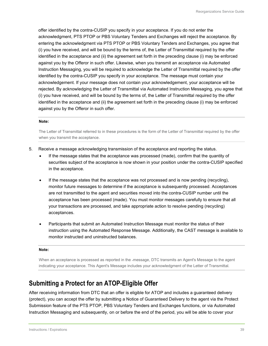offer identified by the contra-CUSIP you specify in your acceptance. If you do not enter the acknowledgment, PTS PTOP or PBS Voluntary Tenders and Exchanges will reject the acceptance. By entering the acknowledgment via PTS PTOP or PBS Voluntary Tenders and Exchanges, you agree that (i) you have received, and will be bound by the terms of, the Letter of Transmittal required by the offer identified in the acceptance and (ii) the agreement set forth in the preceding clause (i) may be enforced against you by the Offeror in such offer. Likewise, when you transmit an acceptance via Automated Instruction Messaging, you will be required to acknowledge the Letter of Transmittal required by the offer identified by the contra-CUSIP you specify in your acceptance. The message must contain your acknowledgement. If your message does not contain your acknowledgement, your acceptance will be rejected. By acknowledging the Letter of Transmittal via Automated Instruction Messaging, you agree that (i) you have received, and will be bound by the terms of, the Letter of Transmittal required by the offer identified in the acceptance and (ii) the agreement set forth in the preceding clause (i) may be enforced against you by the Offeror in such offer.

#### **Note:**

The Letter of Transmittal referred to in these procedures is the form of the Letter of Transmittal required by the offer when you transmit the acceptance.

- 5. Receive a message acknowledging transmission of the acceptance and reporting the status.
	- If the message states that the acceptance was processed (made), confirm that the quantity of securities subject of the acceptance is now shown in your position under the contra-CUSIP specified in the acceptance.
	- If the message states that the acceptance was not processed and is now pending (recycling), monitor future messages to determine if the acceptance is subsequently processed. Acceptances are not transmitted to the agent and securities moved into the contra-CUSIP number until the acceptance has been processed (made). You must monitor messages carefully to ensure that all your transactions are processed, and take appropriate action to resolve pending (recycling) acceptances.
	- Participants that submit an Automated Instruction Message must monitor the status of their instruction using the Automated Response Message. Additionally, the CAST message is available to monitor instructed and uninstructed balances.

#### **Note:**

When an acceptance is processed as reported in the -message, DTC transmits an Agent's Message to the agent indicating your acceptance. This Agent's Message includes your acknowledgment of the Letter of Transmittal.

### **Submitting a Protect for an ATOP-Eligible Offer**

After receiving information from DTC that an offer is eligible for ATOP and includes a guaranteed delivery (protect), you can accept the offer by submitting a Notice of Guaranteed Delivery to the agent via the Protect Submission feature of the PTS PTOP, PBS Voluntary Tenders and Exchanges functions, or via Automated Instruction Messaging and subsequently, on or before the end of the period, you will be able to cover your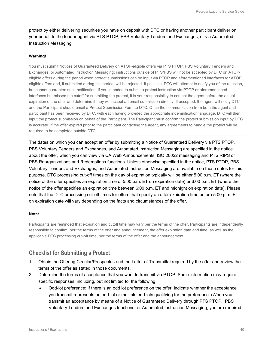protect by either delivering securities you have on deposit with DTC or having another participant deliver on your behalf to the tender agent via PTS PTOP, PBS Voluntary Tenders and Exchanges, or via Automated Instruction Messaging.

#### **Warning!**

You must submit Notices of Guaranteed Delivery on ATOP-eligible offers via PTS PTOP, PBS Voluntary Tenders and Exchanges, or Automated Instruction Messaging; instructions outside of PTS/PBS will not be accepted by DTC on ATOPeligible offers during the period when protect submissions can be input via PTOP and aforementioned interfaces for ATOP eligible offers and, if submitted during this period, will be rejected. If possible, DTC will attempt to notify you of the rejection, but cannot guarantee such notification. If you intended to submit a protect instruction via PTOP or aforementioned interfaces but missed the cutoff for submitting the protect, it is your responsibility to contact the agent before the actual expiration of the offer and determine if they will accept an email submission directly. If accepted, the agent will notify DTC and the Participant should email a Protect Submission Form to DTC. Once the communication from both the agent and participant has been received by DTC, with each having provided the appropriate indemnification language, DTC will then input the protect submission on behalf of the Participant. The Participant must confirm the protect submission input by DTC is accurate. If the offer expired prior to the participant contacting the agent, any agreements to handle the protect will be required to be completed outside DTC.

The dates on which you can accept an offer by submitting a Notice of Guaranteed Delivery via PTS PTOP, PBS Voluntary Tenders and Exchanges, and Automated Instruction Messaging are specified in the notice about the offer, which you can view via CA Web Announcements, ISO 20022 messaging and PTS RIPS or PBS Reorganizations and Redemptions functions. Unless otherwise specified in the notice, PTS PTOP, PBS Voluntary Tenders and Exchanges, and Automated Instruction Messaging are available on those dates for this purpose. DTC processing cut-off times on the day of expiration typically will be either 5:00 p.m. ET (where the notice of the offer specifies an expiration time of 5:00 p.m. ET on expiration date) or 6:00 p.m. ET (where the notice of the offer specifies an expiration time between 6:00 p.m. ET and midnight on expiration date). Please note that the DTC processing cut-off times for offers that specify an offer expiration time before 5:00 p.m. ET on expiration date will vary depending on the facts and circumstances of the offer.

#### **Note:**

Participants are reminded that expiration and cutoff time may vary per the terms of the offer. Participants are independently responsible to confirm, per the terms of the offer and announcement, the offer expiration date and time, as well as the applicable DTC processing cut-off time, per the terms of the offer and the announcement.

### **Checklist for Submitting a Protect**

- 1. Obtain the Offering Circular/Prospectus and the Letter of Transmittal required by the offer and review the terms of the offer as stated in those documents.
- 2. Determine the terms of acceptance that you want to transmit via PTOP. Some information may require specific responses, including, but not limited to, the following:
	- Odd-lot preference: If there is an odd lot preference on the offer, indicate whether the acceptance you transmit represents an odd-lot or multiple odd-lots qualifying for the preference. (When you transmit an acceptance by means of a Notice of Guaranteed Delivery through PTS PTOP, PBS Voluntary Tenders and Exchanges functions, or Automated Instruction Messaging, you are required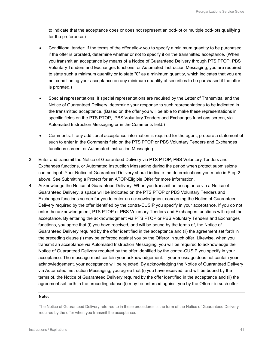to indicate that the acceptance does or does not represent an odd-lot or multiple odd-lots qualifying for the preference.)

- Conditional tender: If the terms of the offer allow you to specify a minimum quantity to be purchased if the offer is prorated, determine whether or not to specify it on the transmitted acceptance. (When you transmit an acceptance by means of a Notice of Guaranteed Delivery through PTS PTOP, PBS Voluntary Tenders and Exchanges functions, or Automated Instruction Messaging, you are required to state such a minimum quantity or to state "0" as a minimum quantity, which indicates that you are not conditioning your acceptance on any minimum quantity of securities to be purchased if the offer is prorated.)
- Special representations: If special representations are required by the Letter of Transmittal and the Notice of Guaranteed Delivery, determine your response to such representations to be indicated in the transmitted acceptance. (Based on the offer you will be able to make these representations in specific fields on the PTS PTOP, PBS Voluntary Tenders and Exchanges functions screen, via Automated Instruction Messaging or in the Comments field.)
- Comments: If any additional acceptance information is required for the agent, prepare a statement of such to enter in the Comments field on the PTS PTOP or PBS Voluntary Tenders and Exchanges functions screen, or Automated Instruction Messaging.
- 3. Enter and transmit the Notice of Guaranteed Delivery via PTS PTOP, PBS Voluntary Tenders and Exchanges functions, or Automated Instruction Messaging during the period when protect submissions can be input. Your Notice of Guaranteed Delivery should indicate the determinations you made in Step 2 above. See Submitting a Protect for an ATOP-Eligible Offer for more information.
- 4. Acknowledge the Notice of Guaranteed Delivery. When you transmit an acceptance via a Notice of Guaranteed Delivery, a space will be indicated on the PTS PTOP or PBS Voluntary Tenders and Exchanges functions screen for you to enter an acknowledgment concerning the Notice of Guaranteed Delivery required by the offer identified by the contra-CUSIP you specify in your acceptance. If you do not enter the acknowledgment, PTS PTOP or PBS Voluntary Tenders and Exchanges functions will reject the acceptance. By entering the acknowledgment via PTS PTOP or PBS Voluntary Tenders and Exchanges functions, you agree that (i) you have received, and will be bound by the terms of, the Notice of Guaranteed Delivery required by the offer identified in the acceptance and (ii) the agreement set forth in the preceding clause (i) may be enforced against you by the Offeror in such offer. Likewise, when you transmit an acceptance via Automated Instruction Messaging, you will be required to acknowledge the Notice of Guaranteed Delivery required by the offer identified by the contra-CUSIP you specify in your acceptance. The message must contain your acknowledgement. If your message does not contain your acknowledgement, your acceptance will be rejected. By acknowledging the Notice of Guaranteed Delivery via Automated Instruction Messaging, you agree that (i) you have received, and will be bound by the terms of, the Notice of Guaranteed Delivery required by the offer identified in the acceptance and (ii) the agreement set forth in the preceding clause (i) may be enforced against you by the Offeror in such offer.

### **Note:**

The Notice of Guaranteed Delivery referred to in these procedures is the form of the Notice of Guaranteed Delivery required by the offer when you transmit the acceptance.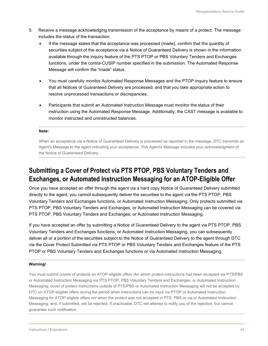- 5. Receive a message acknowledging transmission of the acceptance by means of a protect. The message includes the status of the transaction.
	- If the message states that the acceptance was processed (made), confirm that the quantity of securities subject of the acceptance via a Notice of Guaranteed Delivery is shown in the information available through the inquiry feature of the PTS PTOP or PBS Voluntary Tenders and Exchanges functions, under the contra-CUSIP number specified in the submission. The Automated Response Message will confirm the "made" status.
	- You must carefully monitor Automated Response Messages and the PTOP inquiry feature to ensure that all Notices of Guaranteed Delivery are processed, and that you take appropriate action to resolve unprocessed transactions or discrepancies.
	- Participants that submit an Automated Instruction Message must monitor the status of their instruction using the Automated Response Message. Additonially, the CAST message is available to monitor instructed and uninstructed balances.

#### **Note:**

When an acceptance via a Notice of Guaranteed Delivery is processed as reported in the message, DTC transmits an Agent's Message to the agent indicating your acceptance. This Agent's Message includes your acknowledgment of the Notice of Guaranteed Delivery.

## **Submitting a Cover of Protect via PTS PTOP, PBS Voluntary Tenders and Exchanges, or Automated Instruction Messaging for an ATOP-Eligible Offer**

Once you have accepted an offer through the agent via a hard copy Notice of Guaranteed Delivery submitted directly to the agent, you cannot subsequently deliver the securities to the agent via the PTS PTOP, PBS Voluntary Tenders and Exchanges functions, or Automated Instruction Messaging. Only protects submitted via PTS PTOP, PBS Voluntary Tenders and Exchanges, or Automated Instruction Messaging can be covered via PTS PTOP, PBS Voluntary Tenders and Exchanges, or Automated Instruction Messaging.

If you have accepted an offer by submitting a Notice of Guaranteed Delivery to the agent via PTS PTOP, PBS Voluntary Tenders and Exchanges functions, or Automated Instruction Messaging, you can subsequently deliver all or a portion of the securities subject to the Notice of Guaranteed Delivery to the agent through DTC via the Cover Protect Submitted via PTS PTOP or PBS Voluntary Tenders and Exchanges feature of the PTS PTOP or PBS Voluntary Tenders and Exchanges functions or via Automated Instruction Messaging.

### **Warning!**

You must submit covers of protects on ATOP-eligible offers (for which protect instructions had been accepted via PTS/PBS or Automated Instruction Messaging via PTS PTOP, PBS Voluntary Tenders and Exchanges, or Automated Instruction Messaging; cover of protect instructions outside of PTS/PBS or Automated Instruction Messaging will not be accepted by DTC on ATOP-eligible offers during the period when instructions can be input via PTOP or Automated Instruction Messaging for ATOP eligible offers nor when the protect was not accepted in PTS, PBS or via or Automated Instruction Messaging, and, if submitted, will be rejected. If practicable, DTC will attempt to notify you of the rejection, but cannot guarantee such notification.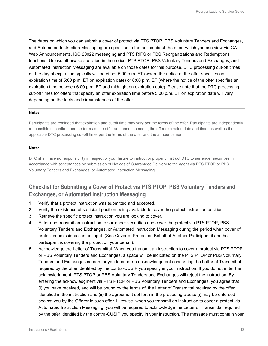The dates on which you can submit a cover of protect via PTS PTOP, PBS Voluntary Tenders and Exchanges, and Automated Instruction Messaging are specified in the notice about the offer, which you can view via CA Web Announcements, ISO 20022 messaging and PTS RIPS or PBS Reorganizations and Redemptions functions. Unless otherwise specified in the notice, PTS PTOP, PBS Voluntary Tenders and Exchanges, and Automated Instruction Messaging are available on those dates for this purpose. DTC processing cut-off times on the day of expiration typically will be either 5:00 p.m. ET (where the notice of the offer specifies an expiration time of 5:00 p.m. ET on expiration date) or 6:00 p.m. ET (where the notice of the offer specifies an expiration time between 6:00 p.m. ET and midnight on expiration date). Please note that the DTC processing cut-off times for offers that specify an offer expiration time before 5:00 p.m. ET on expiration date will vary depending on the facts and circumstances of the offer.

### **Note:**

Participants are reminded that expiration and cutoff time may vary per the terms of the offer. Participants are independently responsible to confirm, per the terms of the offer and announcement, the offer expiration date and time, as well as the applicable DTC processing cut-off time, per the terms of the offer and the announcement.

### **Note:**

DTC shall have no responsibility in respect of your failure to instruct or properly instruct DTC to surrender securities in accordance with acceptances by submission of Notices of Guaranteed Delivery to the agent via PTS PTOP or PBS Voluntary Tenders and Exchanges, or Automated Instruction Messaging.

### **Checklist for Submitting a Cover of Protect via PTS PTOP, PBS Voluntary Tenders and Exchanges, or Automated Instruction Messaging**

- 1. Verify that a protect instruction was submitted and accepted.
- 2. Verify the existence of sufficient position being available to cover the protect instruction position.
- 3. Retrieve the specific protect instruction you are looking to cover.
- 4. Enter and transmit an instruction to surrender securities and cover the protect via PTS PTOP, PBS Voluntary Tenders and Exchanges, or Automated Instruction Messaging during the period when cover of protect submissions can be input. (See Cover of Protect on Behalf of Another Participant if another participant is covering the protect on your behalf).
- 5. Acknowledge the Letter of Transmittal. When you transmit an instruction to cover a protect via PTS PTOP or PBS Voluntary Tenders and Exchanges, a space will be indicated on the PTS PTOP or PBS Voluntary Tenders and Exchanges screen for you to enter an acknowledgment concerning the Letter of Transmittal required by the offer identified by the contra-CUSIP you specify in your instruction. If you do not enter the acknowledgment, PTS PTOP or PBS Voluntary Tenders and Exchanges will reject the instruction. By entering the acknowledgment via PTS PTOP or PBS Voluntary Tenders and Exchanges, you agree that (i) you have received, and will be bound by the terms of, the Letter of Transmittal required by the offer identified in the instruction and (ii) the agreement set forth in the preceding clause (i) may be enforced against you by the Offeror in such offer. Likewise, when you transmit an instruction to cover a protect via Automated Instruction Messaging, you will be required to acknowledge the Letter of Transmittal required by the offer identified by the contra-CUSIP you specify in your instruction. The message must contain your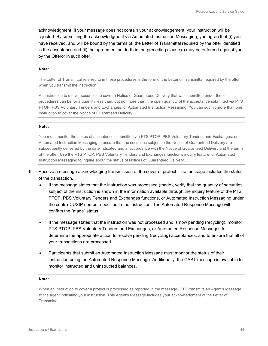acknowledgment. If your message does not contain your acknowledgement, your instruction will be rejected. By submitting the acknowledgment via Automated Instruction Messaging, you agree that (i) you have received, and will be bound by the terms of, the Letter of Transmittal required by the offer identified in the acceptance and (ii) the agreement set forth in the preceding clause (i) may be enforced against you by the Offeror in such offer.

#### **Note:**

The Letter of Transmittal referred to in these procedures is the form of the Letter of Transmittal required by the offer when you transmit the instruction.

An instruction to deliver securities to cover a Notice of Guaranteed Delivery that was submitted under these procedures can be for a quantity less than, but not more than, the open quantity of the acceptance submitted via PTS PTOP, PBS Voluntary Tenders and Exchanges, or Automated Instruction Messaging. You can submit more than one instruction to cover the Notice of Guaranteed Delivery.

#### **Note:**

You must monitor the status of acceptances submitted via PTS PTOP, PBS Voluntary Tenders and Exchanges, or Automated Instruction Messaging to ensure that the securities subject to the Notice of Guaranteed Delivery are subsequently delivered by the date indicated and in accordance with the Notice of Guaranteed Delivery and the terms of the offer. Use the PTS PTOP, PBS Voluntary Tenders and Exchanges function's inquiry feature, or Automated Instruction Messaging to inquire about the status of Notices of Guaranteed Delivery. .

- 6. Receive a message acknowledging transmission of the cover of protect. The message includes the status of the transaction.
	- If the message states that the instruction was processed (made), verify that the quantity of securities subject of the instruction is shown in the information available through the inquiry feature of the PTS PTOP, PBS Voluntary Tenders and Exchanges functions, or Automated Instruction Messaging under the contra-CUSIP number specified in the instruction. The Automated Response Message will confirm the "made" status.
	- If the message states that the instruction was not processed and is now pending (recycling), monitor PTS PTOP, PBS Voluntary Tenders and Exchanges, or Automated Response Messages to determine the appropriate action to resolve pending (recycling) acceptances, and to ensure that all of your transactions are processed.
	- Participants that submit an Automated Instruction Message must monitor the status of their instruction using the Automated Response Message. Additionally, the CAST message is available to monitor instructed and uninstructed balances.

#### **Note:**

When an instruction to cover a protect is processed as reported in the message, DTC transmits an Agent's Message to the agent indicating your instruction. This Agent's Message includes your acknowledgment of the Letter of Transmittal.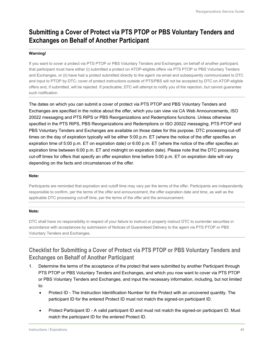# **Submitting a Cover of Protect via PTS PTOP or PBS Voluntary Tenders and Exchanges on Behalf of Another Participant**

### **Warning!**

If you want to cover a protect via PTS PTOP or PBS Voluntary Tenders and Exchanges, on behalf of another participant, that participant must have either (i) submitted a protect on ATOP-eligible offers via PTS PTOP or PBS Voluntary Tenders and Exchanges, or (ii) have had a protect submitted directly to the agent via email and subsequently communicated to DTC and input to PTOP by DTC; cover of protect instructions outside of PTS/PBS will not be accepted by DTC on ATOP-eligible offers and, if submitted, will be rejected. If practicable, DTC will attempt to notify you of the rejection, but cannot guarantee such notification.

The dates on which you can submit a cover of protect via PTS PTOP and PBS Voluntary Tenders and Exchanges are specified in the notice about the offer, which you can view via CA Web Announcements, ISO 20022 messaging and PTS RIPS or PBS Reorganizations and Redemptions functions. Unless otherwise specified in the PTS RIPS, PBS Reorganizations and Redemptions or ISO 20022 messaging, PTS PTOP and PBS Voluntary Tenders and Exchanges are available on those dates for this purpose. DTC processing cut-off times on the day of expiration typically will be either 5:00 p.m. ET (where the notice of the offer specifies an expiration time of 5:00 p.m. ET on expiration date) or 6:00 p.m. ET (where the notice of the offer specifies an expiration time between 6:00 p.m. ET and midnight on expiration date). Please note that the DTC processing cut-off times for offers that specify an offer expiration time before 5:00 p.m. ET on expiration date will vary depending on the facts and circumstances of the offer.

### **Note:**

Participants are reminded that expiration and cutoff time may vary per the terms of the offer. Participants are independently responsible to confirm, per the terms of the offer and announcement, the offer expiration date and time, as well as the applicable DTC processing cut-off time, per the terms of the offer and the announcement.

### **Note:**

DTC shall have no responsibility in respect of your failure to instruct or properly instruct DTC to surrender securities in accordance with acceptances by submission of Notices of Guaranteed Delivery to the agent via PTS PTOP or PBS Voluntary Tenders and Exchanges.

### **Checklist for Submitting a Cover of Protect via PTS PTOP or PBS Voluntary Tenders and Exchanges on Behalf of Another Participant**

- 1. Determine the terms of the acceptance of the protect that were submitted by another Participant through PTS PTOP or PBS Voluntary Tenders and Exchanges, and which you now want to cover via PTS PTOP or PBS Voluntary Tenders and Exchanges, and input the necessary information, including, but not limited to:
	- Protect ID The Instruction Identification Number for the Protect with an uncovered quantity. The participant ID for the entered Protect ID must not match the signed-on participant ID.
	- Protect Participant ID A valid participant ID and must not match the signed-on participant ID. Must match the participant ID for the entered Protect ID.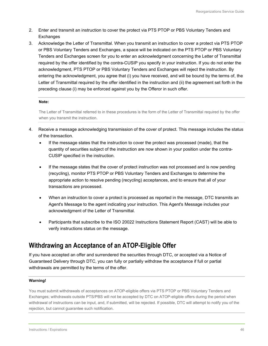- 2. Enter and transmit an instruction to cover the protect via PTS PTOP or PBS Voluntary Tenders and **Exchanges**
- 3. Acknowledge the Letter of Transmittal. When you transmit an instruction to cover a protect via PTS PTOP or PBS Voluntary Tenders and Exchanges, a space will be indicated on the PTS PTOP or PBS Voluntary Tenders and Exchanges screen for you to enter an acknowledgment concerning the Letter of Transmittal required by the offer identified by the contra-CUSIP you specify in your instruction. If you do not enter the acknowledgment, PTS PTOP or PBS Voluntary Tenders and Exchanges will reject the instruction. By entering the acknowledgment, you agree that (i) you have received, and will be bound by the terms of, the Letter of Transmittal required by the offer identified in the instruction and (ii) the agreement set forth in the preceding clause (i) may be enforced against you by the Offeror in such offer.

#### **Note:**

The Letter of Transmittal referred to in these procedures is the form of the Letter of Transmittal required by the offer when you transmit the instruction.

- 4. Receive a message acknowledging transmission of the cover of protect. This message includes the status of the transaction.
	- If the message states that the instruction to cover the protect was processed (made), that the quantity of securities subject of the instruction are now shown in your position under the contra-CUSIP specified in the instruction.
	- If the message states that the cover of protect instruction was not processed and is now pending (recycling), monitor PTS PTOP or PBS Voluntary Tenders and Exchanges to determine the appropriate action to resolve pending (recycling) acceptances, and to ensure that all of your transactions are processed.
	- When an instruction to cover a protect is processed as reported in the message, DTC transmits an Agent's Message to the agent indicating your instruction. This Agent's Message includes your acknowledgment of the Letter of Transmittal.
	- Participants that subscribe to the ISO 20022 Instructions Statement Report (CAST) will be able to verify instructions status on the message.

### **Withdrawing an Acceptance of an ATOP-Eligible Offer**

If you have accepted an offer and surrendered the securities through DTC, or accepted via a Notice of Guaranteed Delivery through DTC, you can fully or partially withdraw the acceptance if full or partial withdrawals are permitted by the terms of the offer.

### **Warning!**

You must submit withdrawals of acceptances on ATOP-eligible offers via PTS PTOP or PBS Voluntary Tenders and Exchanges; withdrawals outside PTS/PBS will not be accepted by DTC on ATOP-eligible offers during the period when withdrawal of instructions can be input, and, if submitted, will be rejected. If possible, DTC will attempt to notify you of the rejection, but cannot guarantee such notification.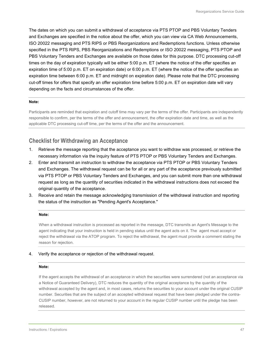The dates on which you can submit a withdrawal of acceptance via PTS PTOP and PBS Voluntary Tenders and Exchanges are specified in the notice about the offer, which you can view via CA Web Announcements, ISO 20022 messaging and PTS RIPS or PBS Reorganizations and Redemptions functions. Unless otherwise specified in the PTS RIPS, PBS Reorganizations and Redemptions or ISO 20022 messaging, PTS PTOP and PBS Voluntary Tenders and Exchanges are available on those dates for this purpose. DTC processing cut-off times on the day of expiration typically will be either 5:00 p.m. ET (where the notice of the offer specifies an expiration time of 5:00 p.m. ET on expiration date) or 6:00 p.m. ET (where the notice of the offer specifies an expiration time between 6:00 p.m. ET and midnight on expiration date). Please note that the DTC processing cut-off times for offers that specify an offer expiration time before 5:00 p.m. ET on expiration date will vary depending on the facts and circumstances of the offer.

#### **Note:**

Participants are reminded that expiration and cutoff time may vary per the terms of the offer. Participants are independently responsible to confirm, per the terms of the offer and announcement, the offer expiration date and time, as well as the applicable DTC processing cut-off time, per the terms of the offer and the announcement.

### **Checklist for Withdrawing an Acceptance**

- 1. Retrieve the message reporting that the acceptance you want to withdraw was processed, or retrieve the necessary information via the inquiry feature of PTS PTOP or PBS Voluntary Tenders and Exchanges.
- 2. Enter and transmit an instruction to withdraw the acceptance via PTS PTOP or PBS Voluntary Tenders and Exchanges. The withdrawal request can be for all or any part of the acceptance previously submitted via PTS PTOP or PBS Voluntary Tenders and Exchanges, and you can submit more than one withdrawal request as long as the quantity of securities indicated in the withdrawal instructions does not exceed the original quantity of the acceptance.
- 3. Receive and retain the message acknowledging transmission of the withdrawal instruction and reporting the status of the instruction as "Pending Agent's Acceptance."

#### **Note:**

When a withdrawal instruction is processed as reported in the message, DTC transmits an Agent's Message to the agent indicating that your instruction is held in pending status until the agent acts on it. The agent must accept or reject the withdrawal via the ATOP program. To reject the withdrawal, the agent must provide a comment stating the reason for rejection.

4. Verify the acceptance or rejection of the withdrawal request.

### **Note:**

If the agent accepts the withdrawal of an acceptance in which the securities were surrendered (not an acceptance via a Notice of Guaranteed Delivery), DTC reduces the quantity of the original acceptance by the quantity of the withdrawal accepted by the agent and, in most cases, returns the securities to your account under the original CUSIP number. Securities that are the subject of an accepted withdrawal request that have been pledged under the contra-CUSIP number, however, are not returned to your account in the regular CUSIP number until the pledge has been released.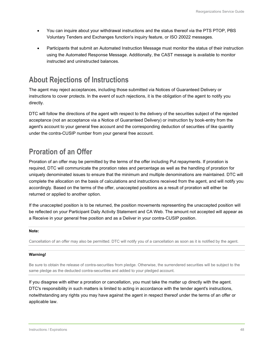- You can inquire about your withdrawal instructions and the status thereof via the PTS PTOP, PBS Voluntary Tenders and Exchanges function's inquiry feature, or ISO 20022 messages.
- Participants that submit an Automated Instruction Message must monitor the status of their instruction using the Automated Response Message. Additionally, the CAST message is available to monitor instructed and uninstructed balances.

# **About Rejections of Instructions**

The agent may reject acceptances, including those submitted via Notices of Guaranteed Delivery or instructions to cover protects. In the event of such rejections, it is the obligation of the agent to notify you directly.

DTC will follow the directions of the agent with respect to the delivery of the securities subject of the rejected acceptance (not an acceptance via a Notice of Guaranteed Delivery) or instruction by book-entry from the agent's account to your general free account and the corresponding deduction of securities of like quantity under the contra-CUSIP number from your general free account.

# **Proration of an Offer**

Proration of an offer may be permitted by the terms of the offer including Put repayments. If proration is required, DTC will communicate the proration rates and percentage as well as the handling of proration for uniquely denominated issues to ensure that the minimum and multiple denominations are maintained. DTC will complete the allocation on the basis of calculations and instructions received from the agent, and will notify you accordingly. Based on the terms of the offer, unaccepted positions as a result of proration will either be returned or applied to another option.

If the unaccepted position is to be returned, the position movements representing the unaccepted position will be reflected on your Participant Daily Activity Statement and CA Web. The amount not accepted will appear as a Receive in your general free position and as a Deliver in your contra-CUSIP position.

### **Note:**

Cancellation of an offer may also be permitted. DTC will notify you of a cancellation as soon as it is notified by the agent.

### **Warning!**

Be sure to obtain the release of contra-securities from pledge. Otherwise, the surrendered securities will be subject to the same pledge as the deducted contra-securities and added to your pledged account.

If you disagree with either a proration or cancellation, you must take the matter up directly with the agent. DTC's responsibility in such matters is limited to acting in accordance with the tender agent's instructions, notwithstanding any rights you may have against the agent in respect thereof under the terms of an offer or applicable law.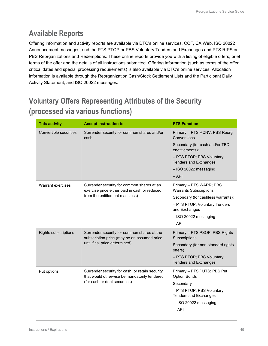# **Available Reports**

Offering information and activity reports are available via DTC's online services, CCF, CA Web, ISO 20022 Announcement messages, and the PTS PTOP or PBS Voluntary Tenders and Exchanges and PTS RIPS or PBS Reorganizations and Redemptions. These online reports provide you with a listing of eligible offers, brief terms of the offer and the details of all instructions submitted. Offering information (such as terms of the offer, critical dates and special processing requirements) is also available via DTC's online services. Allocation information is available through the Reorganization Cash/Stock Settlement Lists and the Participant Daily Activity Statement, and ISO 20022 messages.

# **Voluntary Offers Representing Attributes of the Security (processed via various functions)**

| <b>This activity</b>   | <b>Accept instruction to</b>                                                                                                     | <b>PTS Function</b>                                                                                                                                                                                |
|------------------------|----------------------------------------------------------------------------------------------------------------------------------|----------------------------------------------------------------------------------------------------------------------------------------------------------------------------------------------------|
| Convertible securities | Surrender security for common shares and/or<br>cash                                                                              | Primary - PTS RCNV; PBS Reorg<br>Conversions<br>Secondary (for cash and/or TBD<br>endtitlements):<br>- PTS PTOP; PBS Voluntary<br><b>Tenders and Exchanges</b><br>- ISO 20022 messaging<br>$-$ API |
| Warrant exercises      | Surrender security for common shares at an<br>exercise price either paid in cash or reduced<br>from the entitlement (cashless)   | Primary - PTS WARR; PBS<br><b>Warrants Subscriptions</b><br>Secondary (for cashless warrants):<br>- PTS PTOP; Voluntary Tenders<br>and Exchanges<br>- ISO 20022 messaging<br>$-$ API               |
| Rights subscriptions   | Surrender security for common shares at the<br>subscription price (may be an assumed price<br>until final price determined)      | Primary - PTS PSOP; PBS Rights<br>Subscriptions<br>Secondary (for non-standard rights<br>offers)<br>- PTS PTOP; PBS Voluntary<br><b>Tenders and Exchanges</b>                                      |
| Put options            | Surrender security for cash, or retain security<br>that would otherwise be mandatorily tendered<br>(for cash or debt securities) | Primary - PTS PUTS; PBS Put<br><b>Option Bonds</b><br>Secondary<br>- PTS PTOP; PBS Voluntary<br><b>Tenders and Exchanges</b><br>- ISO 20022 messaging<br>– API                                     |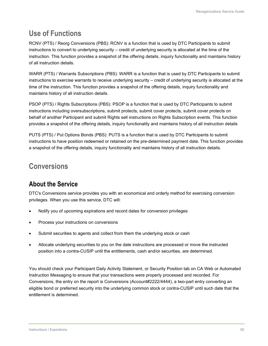# **Use of Functions**

RCNV (PTS) / Reorg Conversions (PBS): RCNV is a function that is used by DTC Participants to submit instructions to convert to underlying security – credit of underlying security is allocated at the time of the instruction. This function provides a snapshot of the offering details, inquiry functionality and maintains history of all instruction details.

WARR (PTS) / Warrants Subscriptions (PBS): WARR is a function that is used by DTC Participants to submit instructions to exercise warrants to receive underlying security – credit of underlying security is allocated at the time of the instruction. This function provides a snapshot of the offering details, inquiry functionality and maintains history of all instruction details.

PSOP (PTS) / Rights Subscriptions (PBS): PSOP is a function that is used by DTC Participants to submit instructions including oversubscriptions, submit protects, submit cover protects, submit cover protects on behalf of another Participant and submit Rights sell instructions on Rights Subscription events. This function provides a snapshot of the offering details, inquiry functionality and maintains history of all instruction details

PUTS (PTS) / Put Options Bonds (PBS): PUTS is a function that is used by DTC Participants to submit instructions to have position redeemed or retained on the pre-determined payment date. This function provides a snapshot of the offering details, inquiry functionality and maintains history of all instruction details.

# **Conversions**

### **About the Service**

DTC's Conversions service provides you with an economical and orderly method for exercising conversion privileges. When you use this service, DTC will:

- Notify you of upcoming expirations and record dates for conversion privileges
- Process your instructions on conversions
- Submit securities to agents and collect from them the underlying stock or cash
- Allocate underlying securities to you on the date instructions are processed or move the instructed position into a contra-CUSIP until the entitlements, cash and/or securities, are determined.

You should check your Participant Daily Activity Statement, or Security Position tab on CA Web or Automated Instruction Messaging to ensure that your transactions were properly processed and recorded. For Conversions, the entry on the report is Conversions (Account#2222/4444), a two-part entry converting an eligible bond or preferred security into the underlying common stock or contra-CUSIP until such date that the entitlement is determined.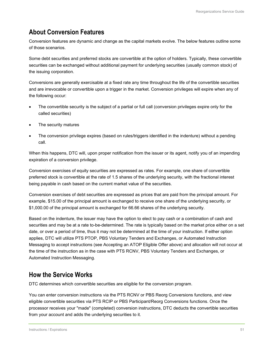### **About Conversion Features**

Conversion features are dynamic and change as the capital markets evolve. The below features outline some of those scenarios.

Some debt securities and preferred stocks are convertible at the option of holders. Typically, these convertible securities can be exchanged without additional payment for underlying securities (usually common stock) of the issuing corporation.

Conversions are generally exercisable at a fixed rate any time throughout the life of the convertible securities and are irrevocable or convertible upon a trigger in the market. Conversion privileges will expire when any of the following occur:

- The convertible security is the subject of a partial or full call (conversion privileges expire only for the called securities)
- The security matures
- The conversion privilege expires (based on rules/triggers identified in the indenture) without a pending call.

When this happens, DTC will, upon proper notification from the issuer or its agent, notify you of an impending expiration of a conversion privilege.

Conversion exercises of equity securities are expressed as rates. For example, one share of convertible preferred stock is convertible at the rate of 1.5 shares of the underlying security, with the fractional interest being payable in cash based on the current market value of the securities.

Conversion exercises of debt securities are expressed as prices that are paid from the principal amount. For example, \$15.00 of the principal amount is exchanged to receive one share of the underlying security, or \$1,000.00 of the principal amount is exchanged for 66.66 shares of the underlying security.

Based on the indenture, the issuer may have the option to elect to pay cash or a combination of cash and securities and may be at a rate to-be-determined. The rate is typically based on the market price either on a set date, or over a period of time, thus it may not be determined at the time of your instruction. If either option applies, DTC will utilize PTS PTOP, PBS Voluntary Tenders and Exchanges, or Automated Instruction Messaging to accept instructions (see Accepting an ATOP Eligible Offer above) and allocation will not occur at the time of the instruction as in the case with PTS RCNV, PBS Voluntary Tenders and Exchanges, or Automated Instruction Messaging.

### **How the Service Works**

DTC determines which convertible securities are eligible for the conversion program.

You can enter conversion instructions via the PTS RCNV or PBS Reorg Conversions functions, and view eligible convertible securities via PTS RCIP or PBS Participant/Reorg Conversions functions. Once the processor receives your "made" (completed) conversion instructions, DTC deducts the convertible securities from your account and adds the underlying securities to it.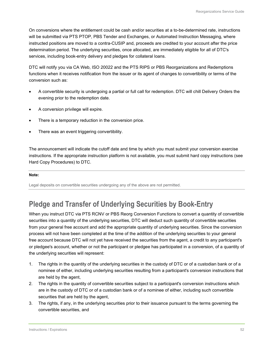On conversions where the entitlement could be cash and/or securities at a to-be-determined rate, instructions will be submitted via PTS PTOP, PBS Tender and Exchanges, or Automated Instruction Messaging, where instructed positions are moved to a contra-CUSIP and, proceeds are credited to your account after the price determination period. The underlying securities, once allocated, are immediately eligible for all of DTC's services, including book-entry delivery and pledges for collateral loans.

DTC will notify you via CA Web, ISO 20022 and the PTS RIPS or PBS Reorganizations and Redemptions functions when it receives notification from the issuer or its agent of changes to convertibility or terms of the conversion such as:

- A convertible security is undergoing a partial or full call for redemption. DTC will chill Delivery Orders the evening prior to the redemption date.
- A conversion privilege will expire.
- There is a temporary reduction in the conversion price.
- There was an event triggering convertibility.

The announcement will indicate the cutoff date and time by which you must submit your conversion exercise instructions. If the appropriate instruction platform is not available, you must submit hard copy instructions (see Hard Copy Procedures) to DTC.

### **Note:**

Legal deposits on convertible securities undergoing any of the above are not permitted.

# **Pledge and Transfer of Underlying Securities by Book-Entry**

When you instruct DTC via PTS RCNV or PBS Reorg Conversion Functions to convert a quantity of convertible securities into a quantity of the underlying securities, DTC will deduct such quantity of convertible securities from your general free account and add the appropriate quantity of underlying securities. Since the conversion process will not have been completed at the time of the addition of the underlying securities to your general free account because DTC will not yet have received the securities from the agent, a credit to any participant's or pledgee's account, whether or not the participant or pledgee has participated in a conversion, of a quantity of the underlying securities will represent:

- 1. The rights in the quantity of the underlying securities in the custody of DTC or of a custodian bank or of a nominee of either, including underlying securities resulting from a participant's conversion instructions that are held by the agent,
- 2. The rights in the quantity of convertible securities subject to a participant's conversion instructions which are in the custody of DTC or of a custodian bank or of a nominee of either, including such convertible securities that are held by the agent,
- 3. The rights, if any, in the underlying securities prior to their issuance pursuant to the terms governing the convertible securities, and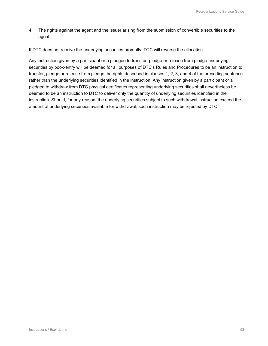4. The rights against the agent and the issuer arising from the submission of convertible securities to the agent.

If DTC does not receive the underlying securities promptly, DTC will reverse the allocation.

Any instruction given by a participant or a pledgee to transfer, pledge or release from pledge underlying securities by book-entry will be deemed for all purposes of DTC's Rules and Procedures to be an instruction to transfer, pledge or release from pledge the rights described in clauses 1, 2, 3, and 4 of the preceding sentence rather than the underlying securities identified in the instruction. Any instruction given by a participant or a pledgee to withdraw from DTC physical certificates representing underlying securities shall nevertheless be deemed to be an instruction to DTC to deliver only the quantity of underlying securities identified in the instruction. Should, for any reason, the underlying securities subject to such withdrawal instruction exceed the amount of underlying securities available for withdrawal, such instruction may be rejected by DTC.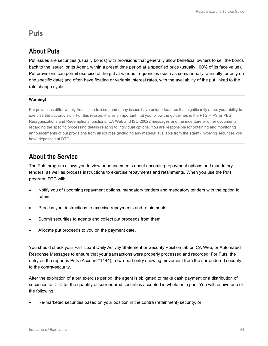### **Puts**

## **About Puts**

Put issues are securities (usually bonds) with provisions that generally allow beneficial owners to sell the bonds back to the issuer, or its Agent, within a preset time period at a specified price (usually 100% of its face value). Put provisions can permit exercise of the put at various frequencies (such as semiannually, annually, or only on one specific date) and often have floating or variable interest rates, with the availability of the put linked to the rate change cycle.

### **Warning!**

Put provisions differ widely from issue to issue and many issues have unique features that significantly affect your ability to exercise the put provision. For this reason, it is very important that you follow the guidelines in the PTS RIPS or PBS Reorganizations and Redemptions functions, CA Web and ISO 20022 messages and the indenture or other documents regarding the specific processing details relating to individual options. You are responsible for obtaining and monitoring announcements of put provisions from all sources (including any material available from the agent) involving securities you have deposited at DTC.

## **About the Service**

The Puts program allows you to view announcements about upcoming repayment options and mandatory tenders, as well as process instructions to exercise repayments and retainments. When you use the Puts program, DTC will:

- Notify you of upcoming repayment options, mandatory tenders and mandatory tenders with the option to retain
- Process your instructions to exercise repayments and retainments
- Submit securities to agents and collect put proceeds from them
- Allocate put proceeds to you on the payment date.

You should check your Participant Daily Activity Statement or Security Position tab on CA Web, or Automated Response Messages to ensure that your transactions were properly processed and recorded. For Puts, the entry on the report is Puts (Account#1444), a two-part entry showing movement from the surrendered security to the contra-security.

After the expiration of a put exercise period, the agent is obligated to make cash payment or a distribution of securities to DTC for the quantity of surrendered securities accepted in whole or in part. You will receive one of the following:

• Re-marketed securities based on your position in the contra (retainment) security, or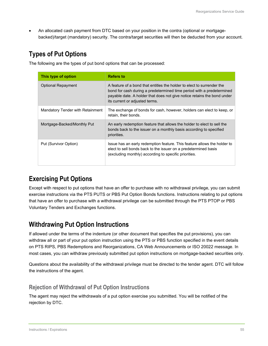• An allocated cash payment from DTC based on your position in the contra (optional or mortgagebacked)/target (mandatory) security. The contra/target securities will then be deducted from your account.

## **Types of Put Options**

The following are the types of put bond options that can be processed:

| This type of option              | <b>Refers to</b>                                                                                                                                                                                                                                             |  |
|----------------------------------|--------------------------------------------------------------------------------------------------------------------------------------------------------------------------------------------------------------------------------------------------------------|--|
| <b>Optional Repayment</b>        | A feature of a bond that entitles the holder to elect to surrender the<br>bond for cash during a predetermined time period with a predetermined<br>payable date. A holder that does not give notice retains the bond under<br>its current or adjusted terms. |  |
| Mandatory Tender with Retainment | The exchange of bonds for cash, however, holders can elect to keep, or<br>retain, their bonds.                                                                                                                                                               |  |
| Mortgage-Backed/Monthly Put      | An early redemption feature that allows the holder to elect to sell the<br>bonds back to the issuer on a monthly basis according to specified<br>priorities.                                                                                                 |  |
| Put (Survivor Option)            | Issue has an early redemption feature. This feature allows the holder to<br>elect to sell bonds back to the issuer on a predetermined basis<br>(excluding monthly) according to specific priorities.                                                         |  |

### **Exercising Put Options**

Except with respect to put options that have an offer to purchase with no withdrawal privilege, you can submit exercise instructions via the PTS PUTS or PBS Put Option Bonds functions. Instructions relating to put options that have an offer to purchase with a withdrawal privilege can be submitted through the PTS PTOP or PBS Voluntary Tenders and Exchanges functions.

### **Withdrawing Put Option Instructions**

If allowed under the terms of the indenture (or other document that specifies the put provisions), you can withdraw all or part of your put option instruction using the PTS or PBS function specified in the event details on PTS RIPS, PBS Redemptions and Reorganizations, CA Web Announcements or ISO 20022 message. In most cases, you can withdraw previously submitted put option instructions on mortgage-backed securities only.

Questions about the availability of the withdrawal privilege must be directed to the tender agent. DTC will follow the instructions of the agent.

### **Rejection of Withdrawal of Put Option Instructions**

The agent may reject the withdrawals of a put option exercise you submitted. You will be notified of the rejection by DTC.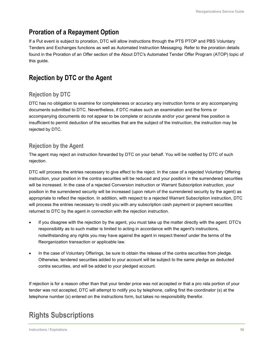### **Proration of a Repayment Option**

If a Put event is subject to proration, DTC will allow instructions through the PTS PTOP and PBS Voluntary Tenders and Exchanges functions as well as Automated Instruction Messaging. Refer to the proration details found in the Proration of an Offer section of the About DTC's Automated Tender Offer Program (ATOP) topic of this guide.

### **Rejection by DTC or the Agent**

### **Rejection by DTC**

DTC has no obligation to examine for completeness or accuracy any instruction forms or any accompanying documents submitted to DTC. Nevertheless, if DTC makes such an examination and the forms or accompanying documents do not appear to be complete or accurate and/or your general free position is insufficient to permit deduction of the securities that are the subject of the instruction, the instruction may be rejected by DTC.

### **Rejection by the Agent**

The agent may reject an instruction forwarded by DTC on your behalf. You will be notified by DTC of such rejection.

DTC will process the entries necessary to give effect to the reject. In the case of a rejected Voluntary Offering instruction, your position in the contra securities will be reduced and your position in the surrendered securities will be increased. In the case of a rejected Conversion instruction or Warrant Subscription instruction, your position in the surrendered security will be increased (upon return of the surrendered security by the agent) as appropriate to reflect the rejection. In addition, with respect to a rejected Warrant Subscription instruction, DTC will process the entries necessary to credit you with any subscription cash payment or payment securities returned to DTC by the agent in connection with the rejection instruction.

- If you disagree with the rejection by the agent, you must take up the matter directly with the agent. DTC's responsibility as to such matter is limited to acting in accordance with the agent's instructions, notwithstanding any rights you may have against the agent in respect thereof under the terms of the Reorganization transaction or applicable law.
- In the case of Voluntary Offerings, be sure to obtain the release of the contra securities from pledge. Otherwise, tendered securities added to your account will be subject to the same pledge as deducted contra securities, and will be added to your pledged account.

If rejection is for a reason other than that your tender price was not accepted or that a pro rata portion of your tender was not accepted, DTC will attempt to notify you by telephone, calling first the coordinator (s) at the telephone number (s) entered on the instructions form, but takes no responsibility therefor.

# **Rights Subscriptions**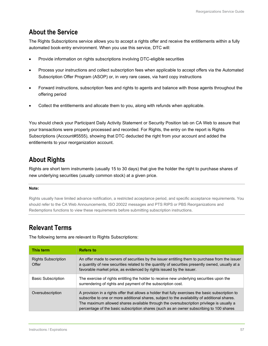### **About the Service**

The Rights Subscriptions service allows you to accept a rights offer and receive the entitlements within a fully automated book-entry environment. When you use this service, DTC will:

- Provide information on rights subscriptions involving DTC-eligible securities
- Process your instructions and collect subscription fees when applicable to accept offers via the Automated Subscription Offer Program (ASOP) or, in very rare cases, via hard copy instructions
- Forward instructions, subscription fees and rights to agents and balance with those agents throughout the offering period
- Collect the entitlements and allocate them to you, along with refunds when applicable.

You should check your Participant Daily Activity Statement or Security Position tab on CA Web to assure that your transactions were properly processed and recorded. For Rights, the entry on the report is Rights Subscriptions (Account#5555), showing that DTC deducted the right from your account and added the entitlements to your reorganization account.

### **About Rights**

Rights are short term instruments (usually 15 to 30 days) that give the holder the right to purchase shares of new underlying securities (usually common stock) at a given price.

### **Note:**

Rights usually have limited advance notification, a restricted acceptance period, and specific acceptance requirements. You should refer to the CA Web Announcements, ISO 20022 messages and PTS RIPS or PBS Reorganizations and Redemptions functions to view these requirements before submitting subscription instructions.

### **Relevant Terms**

The following terms are relevant to Rights Subscriptions:

| This term                           | <b>Refers to</b>                                                                                                                                                                                                                                                                                                                                                                          |
|-------------------------------------|-------------------------------------------------------------------------------------------------------------------------------------------------------------------------------------------------------------------------------------------------------------------------------------------------------------------------------------------------------------------------------------------|
| <b>Rights Subscription</b><br>Offer | An offer made to owners of securities by the issuer entitling them to purchase from the issuer<br>a quantity of new securities related to the quantity of securities presently owned, usually at a<br>favorable market price, as evidenced by rights issued by the issuer.                                                                                                                |
| <b>Basic Subscription</b>           | The exercise of rights entitling the holder to receive new underlying securities upon the<br>surrendering of rights and payment of the subscription cost.                                                                                                                                                                                                                                 |
| Oversubscription                    | A provision in a rights offer that allows a holder that fully exercises the basic subscription to<br>subscribe to one or more additional shares, subject to the availability of additional shares.<br>The maximum allowed shares available through the oversubscription privilege is usually a<br>percentage of the basic subscription shares (such as an owner subscribing to 100 shares |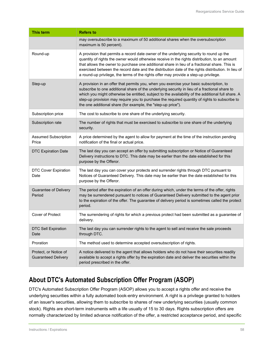| <b>This term</b>                                    | <b>Refers to</b>                                                                                                                                                                                                                                                                                                                                                                                                                                                                        |
|-----------------------------------------------------|-----------------------------------------------------------------------------------------------------------------------------------------------------------------------------------------------------------------------------------------------------------------------------------------------------------------------------------------------------------------------------------------------------------------------------------------------------------------------------------------|
|                                                     | may oversubscribe to a maximum of 50 additional shares when the oversubscription<br>maximum is 50 percent).                                                                                                                                                                                                                                                                                                                                                                             |
| Round-up                                            | A provision that permits a record date owner of the underlying security to round up the<br>quantity of rights the owner would otherwise receive in the rights distribution, to an amount<br>that allows the owner to purchase one additional share in lieu of a fractional share. This is<br>exercised between the record date and the distribution date of the rights distribution. In lieu of<br>a round-up privilege, the terms of the rights offer may provide a step-up privilege. |
| Step-up                                             | A provision in an offer that permits you, when you exercise your basic subscription, to<br>subscribe to one additional share of the underlying security in lieu of a fractional share to<br>which you might otherwise be entitled, subject to the availability of the additional full share. A<br>step-up provision may require you to purchase the required quantity of rights to subscribe to<br>the one additional share (for example, the "step-up price").                         |
| Subscription price                                  | The cost to subscribe to one share of the underlying security.                                                                                                                                                                                                                                                                                                                                                                                                                          |
| Subscription rate                                   | The number of rights that must be exercised to subscribe to one share of the underlying<br>security.                                                                                                                                                                                                                                                                                                                                                                                    |
| <b>Assumed Subscription</b><br>Price                | A price determined by the agent to allow for payment at the time of the instruction pending<br>notification of the final or actual price.                                                                                                                                                                                                                                                                                                                                               |
| <b>DTC Expiration Date</b>                          | The last day you can accept an offer by submitting subscription or Notice of Guaranteed<br>Delivery instructions to DTC. This date may be earlier than the date established for this<br>purpose by the Offeror.                                                                                                                                                                                                                                                                         |
| <b>DTC Cover Expiration</b><br>Date                 | The last day you can cover your protects and surrender rights through DTC pursuant to<br>Notices of Guaranteed Delivery. This date may be earlier than the date established for this<br>purpose by the Offeror.                                                                                                                                                                                                                                                                         |
| <b>Guarantee of Delivery</b><br>Period              | The period after the expiration of an offer during which, under the terms of the offer, rights<br>may be surrendered pursuant to notices of Guaranteed Delivery submitted to the agent prior<br>to the expiration of the offer. The guarantee of delivery period is sometimes called the protect<br>period.                                                                                                                                                                             |
| Cover of Protect                                    | The surrendering of rights for which a previous protect had been submitted as a guarantee of<br>delivery.                                                                                                                                                                                                                                                                                                                                                                               |
| <b>DTC Sell Expiration</b><br>Date                  | The last day you can surrender rights to the agent to sell and receive the sale proceeds<br>through DTC.                                                                                                                                                                                                                                                                                                                                                                                |
| Proration                                           | The method used to determine accepted oversubscription of rights.                                                                                                                                                                                                                                                                                                                                                                                                                       |
| Protect, or Notice of<br><b>Guaranteed Delivery</b> | A notice delivered to the agent that allows holders who do not have their securities readily<br>available to accept a rights offer by the expiration date and deliver the securities within the<br>period prescribed in the offer.                                                                                                                                                                                                                                                      |

## **About DTC's Automated Subscription Offer Program (ASOP)**

DTC's Automated Subscription Offer Program (ASOP) allows you to accept a rights offer and receive the underlying securities within a fully automated book-entry environment. A right is a privilege granted to holders of an issuer's securities, allowing them to subscribe to shares of new underlying securities (usually common stock). Rights are short-term instruments with a life usually of 15 to 30 days. Rights subscription offers are normally characterized by limited advance notification of the offer, a restricted acceptance period, and specific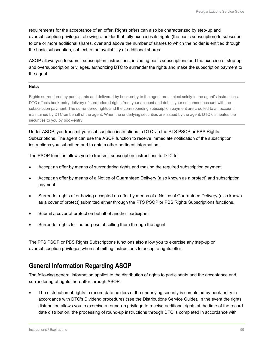requirements for the acceptance of an offer. Rights offers can also be characterized by step-up and oversubscription privileges, allowing a holder that fully exercises its rights (the basic subscription) to subscribe to one or more additional shares, over and above the number of shares to which the holder is entitled through the basic subscription, subject to the availability of additional shares.

ASOP allows you to submit subscription instructions, including basic subscriptions and the exercise of step-up and oversubscription privileges, authorizing DTC to surrender the rights and make the subscription payment to the agent.

### **Note:**

Rights surrendered by participants and delivered by book-entry to the agent are subject solely to the agent's instructions. DTC effects book-entry delivery of surrendered rights from your account and debits your settlement account with the subscription payment. The surrendered rights and the corresponding subscription payment are credited to an account maintained by DTC on behalf of the agent. When the underlying securities are issued by the agent, DTC distributes the securities to you by book-entry.

Under ASOP, you transmit your subscription instructions to DTC via the PTS PSOP or PBS Rights Subscriptions. The agent can use the ASOP function to receive immediate notification of the subscription instructions you submitted and to obtain other pertinent information.

The PSOP function allows you to transmit subscription instructions to DTC to:

- Accept an offer by means of surrendering rights and making the required subscription payment
- Accept an offer by means of a Notice of Guaranteed Delivery (also known as a protect) and subscription payment
- Surrender rights after having accepted an offer by means of a Notice of Guaranteed Delivery (also known as a cover of protect) submitted either through the PTS PSOP or PBS Rights Subscriptions functions.
- Submit a cover of protect on behalf of another participant
- Surrender rights for the purpose of selling them through the agent

The PTS PSOP or PBS Rights Subscriptions functions also allow you to exercise any step-up or oversubscription privileges when submitting instructions to accept a rights offer.

### **General Information Regarding ASOP**

The following general information applies to the distribution of rights to participants and the acceptance and surrendering of rights thereafter through ASOP:

• The distribution of rights to record date holders of the underlying security is completed by book-entry in accordance with DTC's Dividend procedures (see the Distributions Service Guide). In the event the rights distribution allows you to exercise a round-up privilege to receive additional rights at the time of the record date distribution, the processing of round-up instructions through DTC is completed in accordance with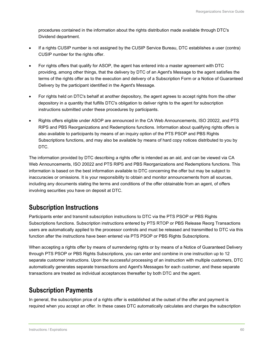procedures contained in the information about the rights distribution made available through DTC's Dividend department.

- If a rights CUSIP number is not assigned by the CUSIP Service Bureau, DTC establishes a user (contra) CUSIP number for the rights offer.
- For rights offers that qualify for ASOP, the agent has entered into a master agreement with DTC providing, among other things, that the delivery by DTC of an Agent's Message to the agent satisfies the terms of the rights offer as to the execution and delivery of a Subscription Form or a Notice of Guaranteed Delivery by the participant identified in the Agent's Message.
- For rights held on DTC's behalf at another depository, the agent agrees to accept rights from the other depository in a quantity that fulfills DTC's obligation to deliver rights to the agent for subscription instructions submitted under these procedures by participants.
- Rights offers eligible under ASOP are announced in the CA Web Announcements, ISO 20022, and PTS RIPS and PBS Reorganizations and Redemptions functions. Information about qualifying rights offers is also available to participants by means of an inquiry option of the PTS PSOP and PBS Rights Subscriptions functions, and may also be available by means of hard copy notices distributed to you by DTC.

The information provided by DTC describing a rights offer is intended as an aid, and can be viewed via CA Web Announcements, ISO 20022 and PTS RIPS and PBS Reorganizations and Redemptions functions. This information is based on the best information available to DTC concerning the offer but may be subject to inaccuracies or omissions. It is your responsibility to obtain and monitor announcements from all sources, including any documents stating the terms and conditions of the offer obtainable from an agent, of offers involving securities you have on deposit at DTC.

### **Subscription Instructions**

Participants enter and transmit subscription instructions to DTC via the PTS PSOP or PBS Rights Subscriptions functions. Subscription instructions entered by PTS RTOP or PBS Release Reorg Transactions users are automatically applied to the processor controls and must be released and transmitted to DTC via this function after the instructions have been entered via PTS PSOP or PBS Rights Subscriptions.

When accepting a rights offer by means of surrendering rights or by means of a Notice of Guaranteed Delivery through PTS PSOP or PBS Rights Subscriptions, you can enter and combine in one instruction up to 12 separate customer instructions. Upon the successful processing of an instruction with multiple customers, DTC automatically generates separate transactions and Agent's Messages for each customer, and these separate transactions are treated as individual acceptances thereafter by both DTC and the agent.

### **Subscription Payments**

In general, the subscription price of a rights offer is established at the outset of the offer and payment is required when you accept an offer. In these cases DTC automatically calculates and charges the subscription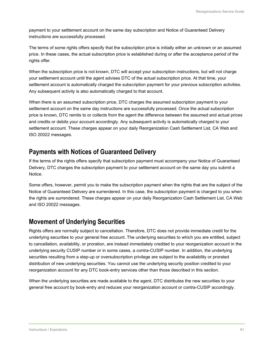payment to your settlement account on the same day subscription and Notice of Guaranteed Delivery instructions are successfully processed.

The terms of some rights offers specify that the subscription price is initially either an unknown or an assumed price. In these cases, the actual subscription price is established during or after the acceptance period of the rights offer.

When the subscription price is not known, DTC will accept your subscription instructions, but will not charge your settlement account until the agent advises DTC of the actual subscription price. At that time, your settlement account is automatically charged the subscription payment for your previous subscription activities. Any subsequent activity is also automatically charged to that account.

When there is an assumed subscription price, DTC charges the assumed subscription payment to your settlement account on the same day instructions are successfully processed. Once the actual subscription price is known, DTC remits to or collects from the agent the difference between the assumed and actual prices and credits or debits your account accordingly. Any subsequent activity is automatically charged to your settlement account. These charges appear on your daily Reorganization Cash Settlement List, CA Web and ISO 20022 messages.

### **Payments with Notices of Guaranteed Delivery**

If the terms of the rights offers specify that subscription payment must accompany your Notice of Guaranteed Delivery, DTC charges the subscription payment to your settlement account on the same day you submit a Notice.

Some offers, however, permit you to make the subscription payment when the rights that are the subject of the Notice of Guaranteed Delivery are surrendered. In this case, the subscription payment is charged to you when the rights are surrendered. These charges appear on your daily Reorganization Cash Settlement List, CA Web and ISO 20022 messages.

### **Movement of Underlying Securities**

Rights offers are normally subject to cancellation. Therefore, DTC does not provide immediate credit for the underlying securities to your general free account. The underlying securities to which you are entitled, subject to cancellation, availability, or proration, are instead immediately credited to your reorganization account in the underlying security CUSIP number or in some cases, a contra-CUSIP number. In addition, the underlying securities resulting from a step-up or oversubscription privilege are subject to the availability or prorated distribution of new underlying securities. You cannot use the underlying security position credited to your reorganization account for any DTC book-entry services other than those described in this section.

When the underlying securities are made available to the agent, DTC distributes the new securities to your general free account by book-entry and reduces your reorganization account or contra-CUSIP accordingly.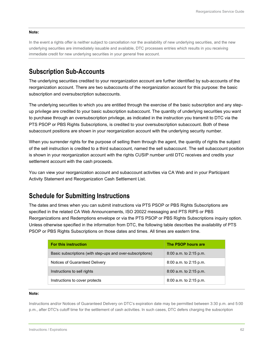### **Note:**

In the event a rights offer is neither subject to cancellation nor the availability of new underlying securities, and the new underlying securities are immediately issuable and available, DTC processes entries which results in you receiving immediate credit for new underlying securities in your general free account.

## **Subscription Sub-Accounts**

The underlying securities credited to your reorganization account are further identified by sub-accounts of the reorganization account. There are two subaccounts of the reorganization account for this purpose: the basic subscription and oversubscription subaccounts.

The underlying securities to which you are entitled through the exercise of the basic subscription and any stepup privilege are credited to your basic subscription subaccount. The quantity of underlying securities you want to purchase through an oversubscription privilege, as indicated in the instruction you transmit to DTC via the PTS PSOP or PBS Rights Subscriptions, is credited to your oversubscription subaccount. Both of these subaccount positions are shown in your reorganization account with the underlying security number.

When you surrender rights for the purpose of selling them through the agent, the quantity of rights the subject of the sell instruction is credited to a third subaccount, named the sell subaccount. The sell subaccount position is shown in your reorganization account with the rights CUSIP number until DTC receives and credits your settlement account with the cash proceeds.

You can view your reorganization account and subaccount activities via CA Web and in your Participant Activity Statement and Reorganization Cash Settlement List.

### **Schedule for Submitting Instructions**

The dates and times when you can submit instructions via PTS PSOP or PBS Rights Subscriptions are specified in the related CA Web Announcements, ISO 20022 messaging and PTS RIPS or PBS Reorganizations and Redemptions envelope or via the PTS PSOP or PBS Rights Subscriptions inquiry option. Unless otherwise specified in the information from DTC, the following table describes the availability of PTS PSOP or PBS Rights Subscriptions on those dates and times. All times are eastern time.

| <b>For this instruction</b>                                | The PSOP hours are       |
|------------------------------------------------------------|--------------------------|
| Basic subscriptions (with step-ups and over-subscriptions) | $8:00$ a.m. to 2:15 p.m. |
| Notices of Guaranteed Delivery                             | $8:00$ a.m. to 2:15 p.m. |
| Instructions to sell rights                                | 8:00 a.m. to 2:15 p.m.   |
| Instructions to cover protects                             | $8:00$ a.m. to 2:15 p.m. |

### **Note:**

Instructions and/or Notices of Guaranteed Delivery on DTC's expiration date may be permitted between 3:30 p.m. and 5:00 p.m., after DTC's cutoff time for the settlement of cash activities. In such cases, DTC defers charging the subscription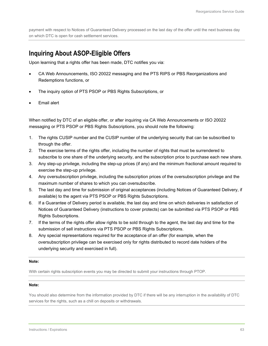payment with respect to Notices of Guaranteed Delivery processed on the last day of the offer until the next business day on which DTC is open for cash settlement services.

### **Inquiring About ASOP-Eligible Offers**

Upon learning that a rights offer has been made, DTC notifies you via:

- CA Web Announcements, ISO 20022 messaging and the PTS RIPS or PBS Reorganizations and Redemptions functions, or
- The inquiry option of PTS PSOP or PBS Rights Subscriptions, or
- Email alert

When notified by DTC of an eligible offer, or after inquiring via CA Web Announcements or ISO 20022 messaging or PTS PSOP or PBS Rights Subscriptions, you should note the following:

- 1. The rights CUSIP number and the CUSIP number of the underlying security that can be subscribed to through the offer.
- 2. The exercise terms of the rights offer, including the number of rights that must be surrendered to subscribe to one share of the underlying security, and the subscription price to purchase each new share.
- 3. Any step-up privilege, including the step-up prices (if any) and the minimum fractional amount required to exercise the step-up privilege.
- 4. Any oversubscription privilege, including the subscription prices of the oversubscription privilege and the maximum number of shares to which you can oversubscribe.
- 5. The last day and time for submission of original acceptances (including Notices of Guaranteed Delivery, if available) to the agent via PTS PSOP or PBS Rights Subscriptions.
- 6. If a Guarantee of Delivery period is available, the last day and time on which deliveries in satisfaction of Notices of Guaranteed Delivery (instructions to cover protects) can be submitted via PTS PSOP or PBS Rights Subscriptions.
- 7. If the terms of the rights offer allow rights to be sold through to the agent, the last day and time for the submission of sell instructions via PTS PSOP or PBS Rights Subscriptions.
- 8. Any special representations required for the acceptance of an offer (for example, when the oversubscription privilege can be exercised only for rights distributed to record date holders of the underlying security and exercised in full).

### **Note:**

With certain rights subscription events you may be directed to submit your instructions through PTOP.

### **Note:**

You should also determine from the information provided by DTC if there will be any interruption in the availability of DTC services for the rights, such as a chill on deposits or withdrawals.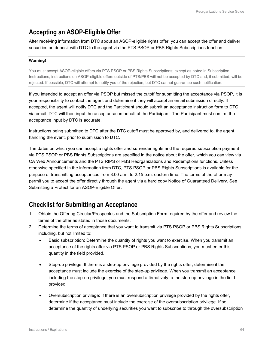### **Accepting an ASOP-Eligible Offer**

After receiving information from DTC about an ASOP-eligible rights offer, you can accept the offer and deliver securities on deposit with DTC to the agent via the PTS PSOP or PBS Rights Subscriptions function.

### **Warning!**

You must accept ASOP-eligible offers via PTS PSOP or PBS Rights Subscriptions; except as noted in Subscription Instructions, instructions on ASOP-eligible offers outside of PTS/PBS will not be accepted by DTC and, if submitted, will be rejected. If possible, DTC will attempt to notify you of the rejection, but DTC cannot guarantee such notification.

If you intended to accept an offer via PSOP but missed the cutoff for submitting the acceptance via PSOP, it is your responsibility to contact the agent and determine if they will accept an email submission directly. If accepted, the agent will notify DTC and the Participant should submit an acceptance instruction form to DTC via email. DTC will then input the acceptance on behalf of the Participant. The Participant must confirm the acceptance input by DTC is accurate.

Instructions being submitted to DTC after the DTC cutoff must be approved by, and delivered to, the agent handling the event, prior to submission to DTC.

The dates on which you can accept a rights offer and surrender rights and the required subscription payment via PTS PSOP or PBS Rights Subscriptions are specified in the notice about the offer, which you can view via CA Web Announcements and the PTS RIPS or PBS Reorganizations and Redemptions functions. Unless otherwise specified in the information from DTC, PTS PSOP or PBS Rights Subscriptions is available for the purpose of transmitting acceptances from 8:00 a.m. to 2:15 p.m. eastern time. The terms of the offer may permit you to accept the offer directly through the agent via a hard copy Notice of Guaranteed Delivery. See Submitting a Protect for an ASOP-Eligible Offer.

### **Checklist for Submitting an Acceptance**

- 1. Obtain the Offering Circular/Prospectus and the Subscription Form required by the offer and review the terms of the offer as stated in those documents.
- 2. Determine the terms of acceptance that you want to transmit via PTS PSOP or PBS Rights Subscriptions including, but not limited to:
	- Basic subscription: Determine the quantity of rights you want to exercise. When you transmit an acceptance of the rights offer via PTS PSOP or PBS Rights Subscriptions, you must enter this quantity in the field provided.
	- Step-up privilege: If there is a step-up privilege provided by the rights offer, determine if the acceptance must include the exercise of the step-up privilege. When you transmit an acceptance including the step-up privilege, you must respond affirmatively to the step-up privilege in the field provided.
	- Oversubscription privilege: If there is an oversubscription privilege provided by the rights offer, determine if the acceptance must include the exercise of the oversubscription privilege. If so, determine the quantity of underlying securities you want to subscribe to through the oversubscription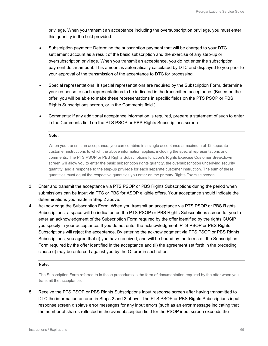privilege. When you transmit an acceptance including the oversubscription privilege, you must enter this quantity in the field provided.

- Subscription payment: Determine the subscription payment that will be charged to your DTC settlement account as a result of the basic subscription and the exercise of any step-up or oversubscription privilege. When you transmit an acceptance, you do not enter the subscription payment dollar amount. This amount is automatically calculated by DTC and displayed to you prior to your approval of the transmission of the acceptance to DTC for processing.
- Special representations: If special representations are required by the Subscription Form, determine your response to such representations to be indicated in the transmitted acceptance. (Based on the offer, you will be able to make these representations in specific fields on the PTS PSOP or PBS Rights Subscriptions screen, or in the Comments field.)
- Comments: If any additional acceptance information is required, prepare a statement of such to enter in the Comments field on the PTS PSOP or PBS Rights Subscriptions screen.

#### **Note:**

When you transmit an acceptance, you can combine in a single acceptance a maximum of 12 separate customer instructions to which the above information applies, including the special representations and comments. The PTS PSOP or PBS Rights Subscriptions function's Rights Exercise Customer Breakdown screen will allow you to enter the basic subscription rights quantity, the oversubscription underlying security quantity, and a response to the step-up privilege for each separate customer instruction. The sum of these quantities must equal the respective quantities you enter on the primary Rights Exercise screen.

- 3. Enter and transmit the acceptance via PTS PSOP or PBS Rights Subscriptions during the period when submissions can be input via PTS or PBS for ASOP eligible offers. Your acceptance should indicate the determinations you made in Step 2 above.
- 4. Acknowledge the Subscription Form. When you transmit an acceptance via PTS PSOP or PBS Rights Subscriptions, a space will be indicated on the PTS PSOP or PBS Rights Subscriptions screen for you to enter an acknowledgment of the Subscription Form required by the offer identified by the rights CUSIP you specify in your acceptance. If you do not enter the acknowledgment, PTS PSOP or PBS Rights Subscriptions will reject the acceptance. By entering the acknowledgment via PTS PSOP or PBS Rights Subscriptions, you agree that (i) you have received, and will be bound by the terms of, the Subscription Form required by the offer identified in the acceptance and (ii) the agreement set forth in the preceding clause (i) may be enforced against you by the Offeror in such offer.

#### **Note:**

The Subscription Form referred to in these procedures is the form of documentation required by the offer when you transmit the acceptance.

5. Receive the PTS PSOP or PBS Rights Subscriptions input response screen after having transmitted to DTC the information entered in Steps 2 and 3 above. The PTS PSOP or PBS Rights Subscriptions input response screen displays error messages for any input errors (such as an error message indicating that the number of shares reflected in the oversubscription field for the PSOP input screen exceeds the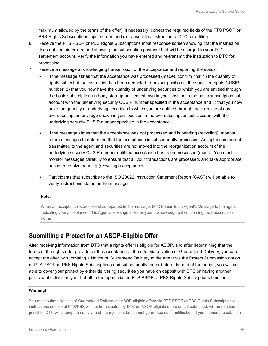maximum allowed by the terms of the offer). If necessary, correct the required fields of the PTS PSOP or PBS Rights Subscriptions input screen and re-transmit the instruction to DTC for editing.

- 6. Receive the PTS PSOP or PBS Rights Subscriptions input response screen showing that the instruction does not contain errors, and showing the subscription payment that will be charged to your DTC settlement account. Verify the information you have entered and re-transmit the instruction to DTC for processing.
- 7. Receive a message acknowledging transmission of the acceptance and reporting the status.
	- If the message states that the acceptance was processed (made), confirm that 1) the quantity of rights subject of the instruction has been deducted from your position in the specified rights CUSIP number, 2) that you now have the quantity of underlying securities to which you are entitled through the basic subscription and any step-up privilege shown in your position in the basic subscription subaccount with the underlying security CUSIP number specified in the acceptance and 3) that you now have the quantity of underlying securities to which you are entitled through the exercise of any oversubscription privilege shown in your position in the oversubscription sub-account with the underlying security CUSIP number specified in the acceptance.
	- If the message states that the acceptance was not processed and is pending (recycling), monitor future messages to determine that the acceptance is subsequently processed. Acceptances are not transmitted to the agent and securities are not moved into the reorganization account of the underlying security CUSIP number until the acceptance has been processed (made). You must monitor messages carefully to ensure that all your transactions are processed, and take appropriate action to resolve pending (recycling) acceptances.
	- Participants that subscribe to the ISO 20022 Instruction Statement Report (CAST) will be able to verify instructions status on the message

#### **Note:**

When an acceptance is processed as reported in the message, DTC transmits an Agent's Message to the agent indicating your acceptance. This Agent's Message includes your acknowledgment concerning the Subscription Form.

### **Submitting a Protect for an ASOP-Eligible Offer**

After receiving information from DTC that a rights offer is eligible for ASOP, and after determining that the terms of the rights offer provide for the acceptance of the offer via a Notice of Guaranteed Delivery, you can accept the offer by submitting a Notice of Guaranteed Delivery to the agent via the Protect Submission option of PTS PSOP or PBS Rights Subscriptions and subsequently, on or before the end of the period, you will be able to cover your protect by either delivering securities you have on deposit with DTC or having another participant deliver on your behalf to the agent via the PTS PSOP or PBS Rights Subscriptions function.

### **Warning!**

You must submit Notices of Guaranteed Delivery on ASOP-eligible offers via PTS PSOP or PBS Rights Subscriptions; instructions outside of PTS/PBS will not be accepted by DTC on ASOP-eligible offers and, if submitted, will be rejected. If possible, DTC will attempt to notify you of the rejection, but cannot guarantee such notification. If you intended to submit a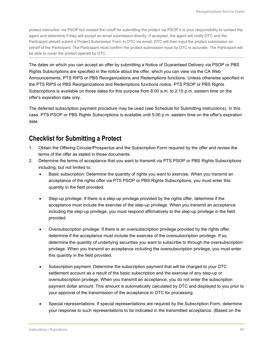protect instruction via PSOP but missed the cutoff for submitting the protect via PSOP it is your responsibility to contact the agent and determine if they will accept an email submission directly. If accepted, the agent will notify DTC and the Participant should submit a Protect Submission Form to DTC via email. DTC will then input the protect submission on behalf of the Participant. The Participant must confirm the protect submission input by DTC is accurate. The Participant will be able to cover the protect opened by DTC.

The dates on which you can accept an offer by submitting a Notice of Guaranteed Delivery via PSOP or PBS Rights Subscriptions are specified in the notice about the offer, which you can view via the CA Web Announcements, PTS RIPS or PBS Reorganizations and Redemptions functions. Unless otherwise specified in the PTS RIPS or PBS Reorganizations and Redemptions functions notice, PTS PSOP or PBS Rights Subscriptions is available on those dates for this purpose from 8:00 a.m. to 2:15 p.m. eastern time on the offer's expiration date only.

The deferred subscription payment procedure may be used (see Schedule for Submitting Instructions). In this case, PTS PSOP or PBS Rights Subscriptions is available until 5:00 p.m. eastern time on the offer's expiration date.

### **Checklist for Submitting a Protect**

- 1. Obtain the Offering Circular/Prospectus and the Subscription Form required by the offer and review the terms of the offer as stated in those documents.
- 2. Determine the terms of acceptance that you want to transmit via PTS PSOP or PBS Rights Subscriptions including, but not limited to:
	- Basic subscription: Determine the quantity of rights you want to exercise. When you transmit an acceptance of the rights offer via PTS PSOP or PBS Rights Subscriptions, you must enter this quantity in the field provided.
	- Step-up privilege: If there is a step-up privilege provided by the rights offer, determine if the acceptance must include the exercise of the step-up privilege. When you transmit an acceptance including the step-up privilege, you must respond affirmatively to the step-up privilege in the field provided.
	- Oversubscription privilege: If there is an oversubscription privilege provided by the rights offer, determine if the acceptance must include the exercise of the oversubscription privilege. If so, determine the quantity of underlying securities you want to subscribe to through the oversubscription privilege. When you transmit an acceptance including the oversubscription privilege, you must enter this quantity in the field provided.
	- Subscription payment: Determine the subscription payment that will be charged to your DTC settlement account as a result of the basic subscription and the exercise of any step-up or oversubscription privilege. When you transmit an acceptance, you do not enter the subscription payment dollar amount. This amount is automatically calculated by DTC and displayed to you prior to your approval of the transmission of the acceptance to DTC for processing.
	- Special representations: If special representations are required by the Subscription Form, determine your response to such representations to be indicated in the transmitted acceptance. (Based on the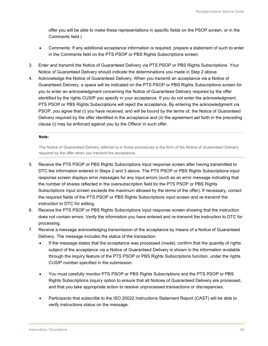offer you will be able to make these representations in specific fields on the PSOP screen, or in the Comments field.)

- Comments: If any additional acceptance information is required, prepare a statement of such to enter in the Comments field on the PTS PSOP or PBS Rights Subscriptions screen.
- 3. Enter and transmit the Notice of Guaranteed Delivery via PTS PSOP or PBS Rights Subscriptions. Your Notice of Guaranteed Delivery should indicate the determinations you made in Step 2 above.
- 4. Acknowledge the Notice of Guaranteed Delivery. When you transmit an acceptance via a Notice of Guaranteed Delivery, a space will be indicated on the PTS PSOP or PBS Rights Subscriptions screen for you to enter an acknowledgment concerning the Notice of Guaranteed Delivery required by the offer identified by the rights CUSIP you specify in your acceptance. If you do not enter the acknowledgment, PTS PSOP or PBS Rights Subscriptions will reject the acceptance. By entering the acknowledgment via PSOP, you agree that (i) you have received, and will be bound by the terms of, the Notice of Guaranteed Delivery required by the offer identified in the acceptance and (ii) the agreement set forth in the preceding clause (i) may be enforced against you by the Offeror in such offer.

### **Note:**

The Notice of Guaranteed Delivery referred to in these procedures is the form of the Notice of Guaranteed Delivery required by the offer when you transmit the acceptance.

- 5. Receive the PTS PSOP or PBS Rights Subscriptions input response screen after having transmitted to DTC the information entered in Steps 2 and 3 above. The PTS PSOP or PBS Rights Subscriptions input response screen displays error messages for any input errors (such as an error message indicating that the number of shares reflected in the oversubscription field for the PTS PSOP or PBS Rights Subscriptions input screen exceeds the maximum allowed by the terms of the offer). If necessary, correct the required fields of the PTS PSOP or PBS Rights Subscriptions input screen and re-transmit the instruction to DTC for editing.
- 6. Receive the PTS PSOP or PBS Rights Subscriptions input response screen showing that the instruction does not contain errors. Verify the information you have entered and re-transmit the instruction to DTC for processing.
- 7. Receive a message acknowledging transmission of the acceptance by means of a Notice of Guaranteed Delivery. The message includes the status of the transaction.
	- If the message states that the acceptance was processed (made), confirm that the quantity of rights subject of the acceptance via a Notice of Guaranteed Delivery is shown in the information available through the inquiry feature of the PTS PSOP or PBS Rights Subscriptions function, under the rights CUSIP number specified in the submission.
	- You must carefully monitor PTS PSOP or PBS Rights Subscriptions and the PTS PSOP or PBS Rights Subscriptions inquiry option to ensure that all Notices of Guaranteed Delivery are processed, and that you take appropriate action to resolve unprocessed transactions or discrepancies.
	- Participants that subscribe to the ISO 20022 Instructions Statement Report (CAST) will be able to verify instructions status on the message.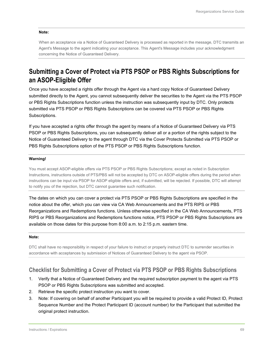#### **Note:**

When an acceptance via a Notice of Guaranteed Delivery is processed as reported in the message, DTC transmits an Agent's Message to the agent indicating your acceptance. This Agent's Message includes your acknowledgment concerning the Notice of Guaranteed Delivery.

## **Submitting a Cover of Protect via PTS PSOP or PBS Rights Subscriptions for an ASOP-Eligible Offer**

Once you have accepted a rights offer through the Agent via a hard copy Notice of Guaranteed Delivery submitted directly to the Agent, you cannot subsequently deliver the securities to the Agent via the PTS PSOP or PBS Rights Subscriptions function unless the instruction was subsequently input by DTC. Only protects submitted via PTS PSOP or PBS Rights Subscriptions can be covered via PTS PSOP or PBS Rights Subscriptions.

If you have accepted a rights offer through the agent by means of a Notice of Guaranteed Delivery via PTS PSOP or PBS Rights Subscriptions, you can subsequently deliver all or a portion of the rights subject to the Notice of Guaranteed Delivery to the agent through DTC via the Cover Protects Submitted via PTS PSOP or PBS Rights Subscriptions option of the PTS PSOP or PBS Rights Subscriptions function.

### **Warning!**

You must accept ASOP-eligible offers via PTS PSOP or PBS Rights Subscriptions; except as noted in Subscription Instructions, instructions outside of PTS/PBS will not be accepted by DTC on ASOP-eligible offers during the period when instructions can be input via PSOP for ASOP eligible offers and, if submitted, will be rejected. If possible, DTC will attempt to notify you of the rejection, but DTC cannot guarantee such notification.

The dates on which you can cover a protect via PTS PSOP or PBS Rights Subscriptions are specified in the notice about the offer, which you can view via CA Web Announcements and the PTS RIPS or PBS Reorganizations and Redemptions functions. Unless otherwise specified in the CA Web Announcements, PTS RIPS or PBS Reorganizations and Redemptions functions notice, PTS PSOP or PBS Rights Subscriptions are available on those dates for this purpose from 8:00 a.m. to 2:15 p.m. eastern time.

### **Note:**

DTC shall have no responsibility in respect of your failure to instruct or properly instruct DTC to surrender securities in accordance with acceptances by submission of Notices of Guaranteed Delivery to the agent via PSOP.

### **Checklist for Submitting a Cover of Protect via PTS PSOP or PBS Rights Subscriptions**

- 1. Verify that a Notice of Guaranteed Delivery and the required subscription payment to the agent via PTS PSOP or PBS Rights Subscriptions was submitted and accepted.
- 2. Retrieve the specific protect instruction you want to cover.
- 3. Note: If covering on behalf of another Participant you will be required to provide a valid Protect ID, Protect Sequence Number and the Protect Participant ID (account number) for the Participant that submitted the original protect instruction.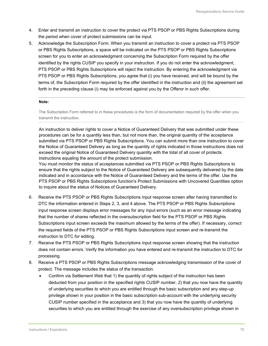- 4. Enter and transmit an instruction to cover the protect via PTS PSOP or PBS Rights Subscriptions during the period when cover of protect submissions can be input.
- 5. Acknowledge the Subscription Form. When you transmit an instruction to cover a protect via PTS PSOP or PBS Rights Subscriptions, a space will be indicated on the PTS PSOP or PBS Rights Subscriptions screen for you to enter an acknowledgment concerning the Subscription Form required by the offer identified by the rights CUSIP you specify in your instruction. If you do not enter the acknowledgment, PTS PSOP or PBS Rights Subscriptions will reject the instruction. By entering the acknowledgment via PTS PSOP or PBS Rights Subscriptions, you agree that (i) you have received, and will be bound by the terms of, the Subscription Form required by the offer identified in the instruction and (ii) the agreement set forth in the preceding clause (i) may be enforced against you by the Offeror in such offer.

#### **Note:**

The Subscription Form referred to in these procedures is the form of documentation required by the offer when you transmit the instruction.

An instruction to deliver rights to cover a Notice of Guaranteed Delivery that was submitted under these procedures can be for a quantity less than, but not more than, the original quantity of the acceptance submitted via PTS PSOP or PBS Rights Subscriptions. You can submit more than one instruction to cover the Notice of Guaranteed Delivery as long as the quantity of rights indicated in those instructions does not exceed the original Notice of Guaranteed Delivery quantity with the total of all cover of protects instructions equaling the amount of the protect submission.

You must monitor the status of acceptances submitted via PTS PSOP or PBS Rights Subscriptions to ensure that the rights subject to the Notice of Guaranteed Delivery are subsequently delivered by the date indicated and in accordance with the Notice of Guaranteed Delivery and the terms of the offer. Use the PTS PSOP or PBS Rights Subscriptions function's Protect Submissions with Uncovered Quantities option to inquire about the status of Notices of Guaranteed Delivery.

- 6. Receive the PTS PSOP or PBS Rights Subscriptions input response screen after having transmitted to DTC the information entered in Steps 2, 3, and 4 above. The PTS PSOP or PBS Rights Subscriptions input response screen displays error messages for any input errors (such as an error message indicating that the number of shares reflected in the oversubscription field for the PTS PSOP or PBS Rights Subscriptions input screen exceeds the maximum allowed by the terms of the offer). If necessary, correct the required fields of the PTS PSOP or PBS Rights Subscriptions input screen and re-transmit the instruction to DTC for editing.
- 7. Receive the PTS PSOP or PBS Rights Subscriptions input response screen showing that the instruction does not contain errors. Verify the information you have entered and re-transmit the instruction to DTC for processing.
- 8. Receive a PTS PSOP or PBS Rights Subscriptions message acknowledging transmission of the cover of protect. The message includes the status of the transaction.
	- Confirm via Settlement Web that 1) the quantity of rights subject of the instruction has been deducted from your position in the specified rights CUSIP number, 2) that you now have the quantity of underlying securities to which you are entitled through the basic subscription and any step-up privilege shown in your position in the basic subscription sub-account with the underlying security CUSIP number specified in the acceptance and 3) that you now have the quantity of underlying securities to which you are entitled through the exercise of any oversubscription privilege shown in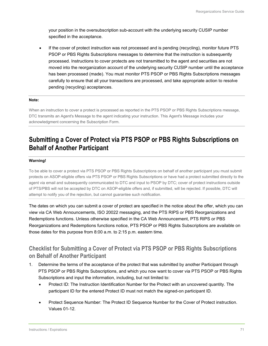your position in the oversubscription sub-account with the underlying security CUSIP number specified in the acceptance.

If the cover of protect instruction was not processed and is pending (recycling), monitor future PTS PSOP or PBS Rights Subscriptions messages to determine that the instruction is subsequently processed. Instructions to cover protects are not transmitted to the agent and securities are not moved into the reorganization account of the underlying security CUSIP number until the acceptance has been processed (made). You must monitor PTS PSOP or PBS Rights Subscriptions messages carefully to ensure that all your transactions are processed, and take appropriate action to resolve pending (recycling) acceptances.

#### **Note:**

When an instruction to cover a protect is processed as reported in the PTS PSOP or PBS Rights Subscriptions message, DTC transmits an Agent's Message to the agent indicating your instruction. This Agent's Message includes your acknowledgment concerning the Subscription Form.

## **Submitting a Cover of Protect via PTS PSOP or PBS Rights Subscriptions on Behalf of Another Participant**

### **Warning!**

To be able to cover a protect via PTS PSOP or PBS Rights Subscriptions on behalf of another participant you must submit protects on ASOP-eligible offers via PTS PSOP or PBS Rights Subscriptions or have had a protect submitted directly to the agent via email and subsequently communicated to DTC and input to PSOP by DTC; cover of protect instructions outside of PTS/PBS will not be accepted by DTC on ASOP-eligible offers and, if submitted, will be rejected. If possible, DTC will attempt to notify you of the rejection, but cannot guarantee such notification.

The dates on which you can submit a cover of protect are specified in the notice about the offer, which you can view via CA Web Announcements, ISO 20022 messaging, and the PTS RIPS or PBS Reorganizations and Redemptions functions. Unless otherwise specified in the CA Web Announcement, PTS RIPS or PBS Reorganizations and Redemptions functions notice, PTS PSOP or PBS Rights Subscriptions are available on those dates for this purpose from 8:00 a.m. to 2:15 p.m. eastern time.

### **Checklist for Submitting a Cover of Protect via PTS PSOP or PBS Rights Subscriptions on Behalf of Another Participant**

- 1. Determine the terms of the acceptance of the protect that was submitted by another Participant through PTS PSOP or PBS Rights Subscriptions, and which you now want to cover via PTS PSOP or PBS Rights Subscriptions and input the information, including, but not limited to:
	- Protect ID: The Instruction Identification Number for the Protect with an uncovered quantity. The participant ID for the entered Protect ID must not match the signed-on participant ID.
	- Protect Sequence Number: The Protect ID Sequence Number for the Cover of Protect instruction. Values 01-12.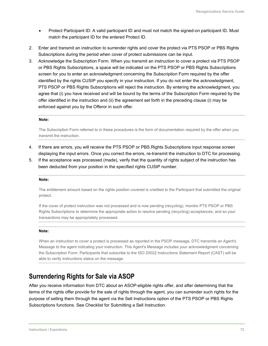- Protect Participant ID: A valid participant ID and must not match the signed-on participant ID. Must match the participant ID for the entered Protect ID.
- 2. Enter and transmit an instruction to surrender rights and cover the protect via PTS PSOP or PBS Rights Subscriptions during the period when cover of protect submissions can be input.
- 3. Acknowledge the Subscription Form. When you transmit an instruction to cover a protect via PTS PSOP or PBS Rights Subscriptions, a space will be indicated on the PTS PSOP or PBS Rights Subscriptions screen for you to enter an acknowledgment concerning the Subscription Form required by the offer identified by the rights CUSIP you specify in your instruction. If you do not enter the acknowledgment, PTS PSOP or PBS Rights Subscriptions will reject the instruction. By entering the acknowledgment, you agree that (i) you have received and will be bound by the terms of the Subscription Form required by the offer identified in the instruction and (ii) the agreement set forth in the preceding clause (i) may be enforced against you by the Offeror in such offer.

#### **Note:**

The Subscription Form referred to in these procedures is the form of documentation required by the offer when you transmit the instruction.

- 4. If there are errors, you will receive the PTS PSOP or PBS Rights Subscriptions input response screen displaying the input errors. Once you correct the errors, re-transmit the instruction to DTC for processing.
- 5. If the acceptance was processed (made), verify that the quantity of rights subject of the instruction has been deducted from your position in the specified rights CUSIP number.

#### **Note:**

The entitlement amount based on the rights position covered is credited to the Participant that submitted the original protect.

If the cover of protect instruction was not processed and is now pending (recycling), monitor PTS PSOP or PBS Rights Subscriptions to determine the appropriate action to resolve pending (recycling) acceptances, and so your transactions may be appropriately processed.

### **Note:**

When an instruction to cover a protect is processed as reported in the PSOP message, DTC transmits an Agent's Message to the agent indicating your instruction. This Agent's Message includes your acknowledgment concerning the Subscription Form. Participants that subscribe to the ISO 20022 Instructions Statement Report (CAST) will be able to verify instructions status on the message.

### **Surrendering Rights for Sale via ASOP**

After you receive information from DTC about an ASOP-eligible rights offer, and after determining that the terms of the rights offer provide for the sale of rights through the agent, you can surrender such rights for the purpose of selling them through the agent via the Sell Instructions option of the PTS PSOP or PBS Rights Subscriptions functions. See Checklist for Submitting a Sell Instruction.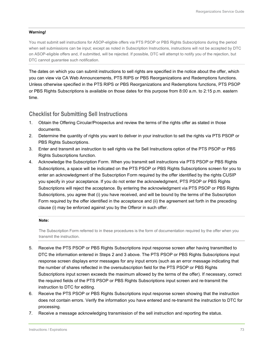#### **Warning!**

You must submit sell instructions for ASOP-eligible offers via PTS PSOP or PBS Rights Subscriptions during the period when sell submissions can be input; except as noted in Subscription Instructions, instructions will not be accepted by DTC on ASOP-eligible offers and, if submitted, will be rejected. If possible, DTC will attempt to notify you of the rejection, but DTC cannot guarantee such notification.

The dates on which you can submit instructions to sell rights are specified in the notice about the offer, which you can view via CA Web Announcements, PTS RIPS or PBS Reorganizations and Redemptions functions. Unless otherwise specified in the PTS RIPS or PBS Reorganizations and Redemptions functions, PTS PSOP or PBS Rights Subscriptions is available on those dates for this purpose from 8:00 a.m. to 2:15 p.m. eastern time.

#### **Checklist for Submitting Sell Instructions**

- 1. Obtain the Offering Circular/Prospectus and review the terms of the rights offer as stated in those documents.
- 2. Determine the quantity of rights you want to deliver in your instruction to sell the rights via PTS PSOP or PBS Rights Subscriptions.
- 3. Enter and transmit an instruction to sell rights via the Sell Instructions option of the PTS PSOP or PBS Rights Subscriptions function.
- 4. Acknowledge the Subscription Form. When you transmit sell instructions via PTS PSOP or PBS Rights Subscriptions, a space will be indicated on the PTS PSOP or PBS Rights Subscriptions screen for you to enter an acknowledgment of the Subscription Form required by the offer identified by the rights CUSIP you specify in your acceptance. If you do not enter the acknowledgment, PTS PSOP or PBS Rights Subscriptions will reject the acceptance. By entering the acknowledgment via PTS PSOP or PBS Rights Subscriptions, you agree that (i) you have received, and will be bound by the terms of the Subscription Form required by the offer identified in the acceptance and (ii) the agreement set forth in the preceding clause (i) may be enforced against you by the Offeror in such offer.

#### **Note:**

The Subscription Form referred to in these procedures is the form of documentation required by the offer when you transmit the instruction.

- 5. Receive the PTS PSOP or PBS Rights Subscriptions input response screen after having transmitted to DTC the information entered in Steps 2 and 3 above. The PTS PSOP or PBS Rights Subscriptions input response screen displays error messages for any input errors (such as an error message indicating that the number of shares reflected in the oversubscription field for the PTS PSOP or PBS Rights Subscriptions input screen exceeds the maximum allowed by the terms of the offer). If necessary, correct the required fields of the PTS PSOP or PBS Rights Subscriptions input screen and re-transmit the instruction to DTC for editing.
- 6. Receive the PTS PSOP or PBS Rights Subscriptions input response screen showing that the instruction does not contain errors. Verify the information you have entered and re-transmit the instruction to DTC for processing.
- 7. Receive a message acknowledging transmission of the sell instruction and reporting the status.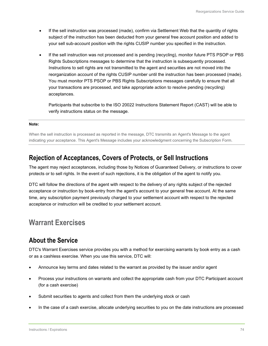- If the sell instruction was processed (made), confirm via Settlement Web that the quantity of rights subject of the instruction has been deducted from your general free account position and added to your sell sub-account position with the rights CUSIP number you specified in the instruction.
- If the sell instruction was not processed and is pending (recycling), monitor future PTS PSOP or PBS Rights Subscriptions messages to determine that the instruction is subsequently processed. Instructions to sell rights are not transmitted to the agent and securities are not moved into the reorganization account of the rights CUSIP number until the instruction has been processed (made). You must monitor PTS PSOP or PBS Rights Subscriptions messages carefully to ensure that all your transactions are processed, and take appropriate action to resolve pending (recycling) acceptances.

Participants that subscribe to the ISO 20022 Instructions Statement Report (CAST) will be able to verify instructions status on the message.

#### **Note:**

When the sell instruction is processed as reported in the message, DTC transmits an Agent's Message to the agent indicating your acceptance. This Agent's Message includes your acknowledgment concerning the Subscription Form.

### **Rejection of Acceptances, Covers of Protects, or Sell Instructions**

The agent may reject acceptances, including those by Notices of Guaranteed Delivery, or instructions to cover protects or to sell rights. In the event of such rejections, it is the obligation of the agent to notify you.

DTC will follow the directions of the agent with respect to the delivery of any rights subject of the rejected acceptance or instruction by book-entry from the agent's account to your general free account. At the same time, any subscription payment previously charged to your settlement account with respect to the rejected acceptance or instruction will be credited to your settlement account.

## **Warrant Exercises**

## **About the Service**

DTC's Warrant Exercises service provides you with a method for exercising warrants by book entry as a cash or as a cashless exercise. When you use this service, DTC will:

- Announce key terms and dates related to the warrant as provided by the issuer and/or agent
- Process your instructions on warrants and collect the appropriate cash from your DTC Participant account (for a cash exercise)
- Submit securities to agents and collect from them the underlying stock or cash
- In the case of a cash exercise, allocate underlying securities to you on the date instructions are processed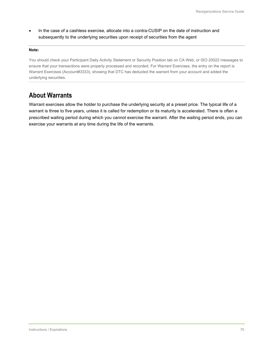• In the case of a cashless exercise, allocate into a contra-CUSIP on the date of instruction and subsequently to the underlying securities upon receipt of securities from the agent

#### **Note:**

You should check your Participant Daily Activity Statement or Security Position tab on CA Web, or ISO 20022 messages to ensure that your transactions were properly processed and recorded. For Warrant Exercises, the entry on the report is Warrant Exercises (Account#3333), showing that DTC has deducted the warrant from your account and added the underlying securities.

## **About Warrants**

Warrant exercises allow the holder to purchase the underlying security at a preset price. The typical life of a warrant is three to five years, unless it is called for redemption or its maturity is accelerated. There is often a prescribed waiting period during which you cannot exercise the warrant. After the waiting period ends, you can exercise your warrants at any time during the life of the warrants.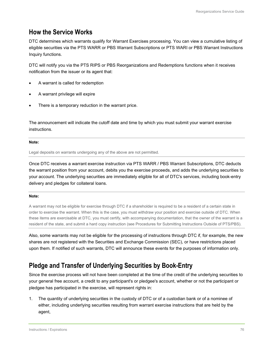## **How the Service Works**

DTC determines which warrants qualify for Warrant Exercises processing. You can view a cumulative listing of eligible securities via the PTS WARR or PBS Warrant Subscriptions or PTS WARI or PBS Warrant Instructions Inquiry functions.

DTC will notify you via the PTS RIPS or PBS Reorganizations and Redemptions functions when it receives notification from the issuer or its agent that:

- A warrant is called for redemption
- A warrant privilege will expire
- There is a temporary reduction in the warrant price.

The announcement will indicate the cutoff date and time by which you must submit your warrant exercise instructions.

#### **Note:**

Legal deposits on warrants undergoing any of the above are not permitted.

Once DTC receives a warrant exercise instruction via PTS WARR / PBS Warrant Subscriptions, DTC deducts the warrant position from your account, debits you the exercise proceeds, and adds the underlying securities to your account. The underlying securities are immediately eligible for all of DTC's services, including book-entry delivery and pledges for collateral loans.

#### **Note:**

A warrant may not be eligible for exercise through DTC if a shareholder is required to be a resident of a certain state in order to exercise the warrant. When this is the case, you must withdraw your position and exercise outside of DTC. When these items are exercisable at DTC, you must certify, with accompanying documentation, that the owner of the warrant is a resident of the state, and submit a hard copy instruction (see Procedures for Submitting Instructions Outside of PTS/PBS).

Also, some warrants may not be eligible for the processing of instructions through DTC if, for example, the new shares are not registered with the Securities and Exchange Commission (SEC), or have restrictions placed upon them. If notified of such warrants, DTC will announce these events for the purposes of information only.

## **Pledge and Transfer of Underlying Securities by Book-Entry**

Since the exercise process will not have been completed at the time of the credit of the underlying securities to your general free account, a credit to any participant's or pledgee's account, whether or not the participant or pledgee has participated in the exercise, will represent rights in:

1. The quantity of underlying securities in the custody of DTC or of a custodian bank or of a nominee of either, including underlying securities resulting from warrant exercise instructions that are held by the agent,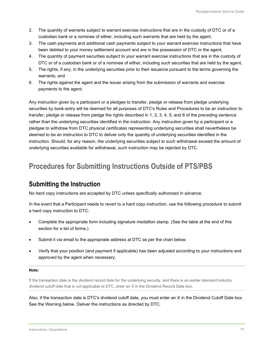- 2. The quantity of warrants subject to warrant exercise instructions that are in the custody of DTC or of a custodian bank or a nominee of either, including such warrants that are held by the agent,
- 3. The cash payments and additional cash payments subject to your warrant exercise instructions that have been debited to your money settlement account and are in the possession of DTC or the agent,
- 4. The quantity of payment securities subject to your warrant exercise instructions that are in the custody of DTC or of a custodian bank or of a nominee of either, including such securities that are held by the agent,
- 5. The rights, if any, in the underlying securities prior to their issuance pursuant to the terms governing the warrants, and
- 6. The rights against the agent and the issuer arising from the submission of warrants and exercise payments to the agent.

Any instruction given by a participant or a pledgee to transfer, pledge or release from pledge underlying securities by book-entry will be deemed for all purposes of DTC's Rules and Procedures to be an instruction to transfer, pledge or release from pledge the rights described in 1, 2, 3, 4, 5, and 6 of the preceding sentence rather than the underlying securities identified in the instruction. Any instruction given by a participant or a pledgee to withdraw from DTC physical certificates representing underlying securities shall nevertheless be deemed to be an instruction to DTC to deliver only the quantity of underlying securities identified in the instruction. Should, for any reason, the underlying securities subject to such withdrawal exceed the amount of underlying securities available for withdrawal, such instruction may be rejected by DTC.

# **Procedures for Submitting Instructions Outside of PTS/PBS**

## **Submitting the Instruction**

No hard copy instructions are accepted by DTC unless specifically authorized in advance.

In the event that a Participant needs to revert to a hard copy instruction, use the following procedure to submit a hard copy instruction to DTC:

- Complete the appropriate form including signature medallion stamp. (See the table at the end of this section for a list of forms.)
- Submit it via email to the appropriate address at DTC as per the chart below.
- Verify that your position (and payment if applicable) has been adjusted according to your instructions and approved by the agent when necessary.

#### **Note:**

If the transaction date is the *dividend record date* for the underlying security, and there is an earlier standard industry *dividend cutoff date* that is not applicable to DTC, enter an X in the Dividend Record Date box.

Also, if the transaction date is DTC's dividend cutoff date, you must enter an X in the Dividend Cutoff Date box. See the Warning below. Deliver the instructions as directed by DTC.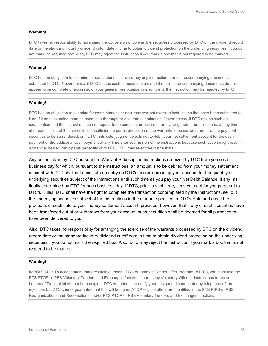#### **Warning!**

DTC takes no responsibility for arranging the conversion of convertible securities processed by DTC on the dividend record date or the standard industry dividend cutoff date in time to obtain dividend protection on the underlying securities if you do not mark the required box. Also, DTC may reject the instruction if you mark a box that is not required to be marked.

#### **Warning!**

DTC has no obligation to examine for completeness or accuracy any instruction forms or accompanying documents submitted to DTC. Nevertheless, if DTC makes such an examination, and the form or accompanying documents do not appear to be complete or accurate, or your general free position is insufficient, the instruction may be rejected by DTC.

#### **Warning!**

DTC has no obligation to examine for completeness or accuracy warrant exercise instructions that have been submitted to it or, if it does examine them, to conduct a thorough or accurate examination. Nevertheless, if DTC makes such an examination and the instructions do not appear to be complete or accurate, or if your general free position is, at any time after submission of the instructions, insufficient to permit deduction of the warrants to be surrendered or of the payment securities to be surrendered, or if DTC in its sole judgment elects not to debit your net settlement account for the cash payment or the additional cash payment at any time after submission of the instructions because such action might result in a financial loss to Participants generally or to DTC, DTC may reject the instructions.

Any action taken by DTC pursuant to Warrant Subscription Instructions received by DTC from you on a business day for which, pursuant to the Instructions, an amount is to be debited from your money settlement account with DTC shall not constitute an entry on DTC's books increasing your account for the quantity of underlying securities subject of the Instructions until such time as you pay your Net Debit Balance, if any, as finally determined by DTC for such business day. If DTC, prior to such time, ceases to act for you pursuant to DTC's Rules, DTC shall have the right to complete the transaction contemplated by the Instructions, sell out the underlying securities subject of the Instructions in the manner specified in DTC's Rule and credit the proceeds of such sale to your money settlement account; provided, however, that if any of such securities have been transferred out of or withdrawn from your account, such securities shall be deemed for all purposes to have been delivered to you.

Also, DTC takes no responsibility for arranging the exercise of the warrants processed by DTC on the dividend record date or the standard industry dividend cutoff date in time to obtain dividend protection on the underlying securities if you do not mark the required box. Also, DTC may reject the instruction if you mark a box that is not required to be marked.

#### **Warning!**

IMPORTANT: To accept offers that are eligible under DTC's Automated Tender Offer Program (ATOP), you must use the PTS PTOP or PBS Voluntary Tenders and Exchanges functions; hard copy Voluntary Offering Instructions forms and Letters of Transmittal will not be accepted. DTC will attempt to notify your designated coordinator by telephone of the rejection, but DTC cannot guarantee that this will be done. ATOP-eligible offers are identified in the PTS RIPS or PBS Reorganizations and Redemptions and/or PTS PTOP or PBS Voluntary Tenders and Exchanges functions.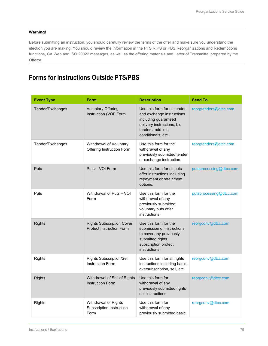#### **Warning!**

Before submitting an instruction, you should carefully review the terms of the offer and make sure you understand the election you are making. You should review the information in the PTS RIPS or PBS Reorganizations and Redemptions functions, CA Web and ISO 20022 messages, as well as the offering materials and Letter of Transmittal prepared by the Offeror.

## **Forms for Instructions Outside PTS/PBS**

| <b>Event Type</b> | <b>Form</b>                                                         | <b>Description</b>                                                                                                                                          | <b>Send To</b>          |
|-------------------|---------------------------------------------------------------------|-------------------------------------------------------------------------------------------------------------------------------------------------------------|-------------------------|
| Tender/Exchanges  | <b>Voluntary Offering</b><br>Instruction (VOI) Form                 | Use this form for all tender<br>and exchange instructions<br>including guaranteed<br>delivery instructions, bid<br>tenders, odd lots,<br>conditionals, etc. | reorgtenders@dtcc.com   |
| Tender/Exchanges  | Withdrawal of Voluntary<br>Offering Instruction Form                | Use this form for the<br>withdrawal of any<br>previously submitted tender<br>or exchange instruction.                                                       | reorgtenders@dtcc.com   |
| Puts              | Puts - VOI Form                                                     | Use this form for all puts<br>offer instructions including<br>repayment or retainment<br>options.                                                           | putsprocessing@dtcc.com |
| Puts              | Withdrawal of Puts - VOI<br>Form                                    | Use this form for the<br>withdrawal of any<br>previously submitted<br>voluntary puts offer<br>instructions.                                                 | putsprocessing@dtcc.com |
| <b>Rights</b>     | <b>Rights Subscription Cover</b><br><b>Protect Instruction Form</b> | Use this form for the<br>submission of instructions<br>to cover any previously<br>submitted rights<br>subscription protect<br>instructions.                 | reorgconv@dtcc.com      |
| <b>Rights</b>     | <b>Rights Subscription/Sell</b><br><b>Instruction Form</b>          | Use this form for all rights<br>instructions including basic,<br>oversubscription, sell, etc.                                                               | reorgconv@dtcc.com      |
| <b>Rights</b>     | Withdrawal of Sell of Rights<br><b>Instruction Form</b>             | Use this form for<br>withdrawal of any<br>previously submitted rights<br>sell instructions.                                                                 | reorgconv@dtcc.com      |
| <b>Rights</b>     | Withdrawal of Rights<br>Subscription Instruction<br>Form            | Use this form for<br>withdrawal of any<br>previously submitted basic                                                                                        | reorgconv@dtcc.com      |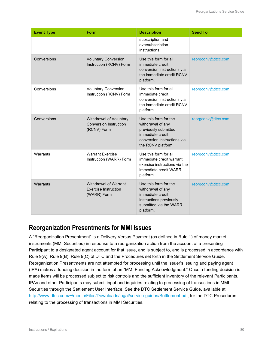| <b>Event Type</b> | Form                                                                    | <b>Description</b>                                                                                                                          | <b>Send To</b>     |
|-------------------|-------------------------------------------------------------------------|---------------------------------------------------------------------------------------------------------------------------------------------|--------------------|
|                   |                                                                         | subscription and<br>oversubscription<br>instructions.                                                                                       |                    |
| Conversions       | <b>Voluntary Conversion</b><br>Instruction (RCNV) Form                  | Use this form for all<br>immediate credit<br>conversion instructions via<br>the immediate credit RCNV<br>platform.                          | reorgconv@dtcc.com |
| Conversions       | <b>Voluntary Conversion</b><br>Instruction (RCNV) Form                  | Use this form for all<br>immediate credit<br>conversion instructions via<br>the immediate credit RCNV<br>platform.                          | reorgconv@dtcc.com |
| Conversions       | Withdrawal of Voluntary<br><b>Conversion Instruction</b><br>(RCNV) Form | Use this form for the<br>withdrawal of any<br>previously submitted<br>immediate credit<br>conversion instructions via<br>the RCNV platform. | reorgconv@dtcc.com |
| Warrants          | <b>Warrant Exercise</b><br>Instruction (WARR) Form                      | Use this form for all<br>immediate credit warrant<br>exercise instructions via the<br>immediate credit WARR<br>platform.                    | reorgconv@dtcc.com |
| Warrants          | Withdrawal of Warrant<br><b>Exercise Instruction</b><br>(WARR) Form     | Use this form for the<br>withdrawal of any<br>immediate credit<br>instructions previously<br>submitted via the WARR<br>platform.            | reorgconv@dtcc.com |

## **Reorganization Presentments for MMI Issues**

A "Reorganization Presentment" is a Delivery Versus Payment (as defined in Rule 1) of money market instruments (MMI Securities) in response to a reorganization action from the account of a presenting Participant to a designated agent account for that issue, and is subject to, and is processed in accordance with Rule 9(A), Rule 9(B), Rule 9(C) of DTC and the Procedures set forth in the Settlement Service Guide. Reorganization Presentments are not attempted for processing until the issuer's issuing and paying agent (IPA) makes a funding decision in the form of an "MMI Funding Acknowledgment." Once a funding decision is made items will be processed subject to risk controls and the sufficient inventory of the relevant Participants. IPAs and other Participants may submit input and inquiries relating to processing of transactions in MMI Securities through the Settlement User Interface. See the DTC Settlement Service Guide, available at [http://www.dtcc.com/~/media/Files/Downloads/legal/service-guides/Settlement.pdf,](http://www.dtcc.com/%7E/media/Files/Downloads/legal/service-guides/Settlement.pdf) for the DTC Procedures relating to the processing of transactions in MMI Securities.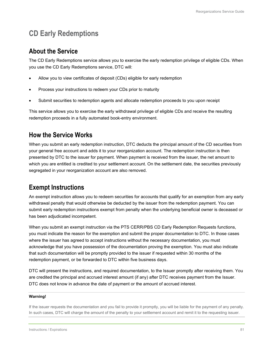# **CD Early Redemptions**

## **About the Service**

The CD Early Redemptions service allows you to exercise the early redemption privilege of eligible CDs. When you use the CD Early Redemptions service, DTC will:

- Allow you to view certificates of deposit (CDs) eligible for early redemption
- Process your instructions to redeem your CDs prior to maturity
- Submit securities to redemption agents and allocate redemption proceeds to you upon receipt

This service allows you to exercise the early withdrawal privilege of eligible CDs and receive the resulting redemption proceeds in a fully automated book-entry environment.

## **How the Service Works**

When you submit an early redemption instruction, DTC deducts the principal amount of the CD securities from your general free account and adds it to your reorganization account. The redemption instruction is then presented by DTC to the issuer for payment. When payment is received from the issuer, the net amount to which you are entitled is credited to your settlement account. On the settlement date, the securities previously segregated in your reorganization account are also removed.

## **Exempt Instructions**

An exempt instruction allows you to redeem securities for accounts that qualify for an exemption from any early withdrawal penalty that would otherwise be deducted by the issuer from the redemption payment. You can submit early redemption instructions exempt from penalty when the underlying beneficial owner is deceased or has been adjudicated incompetent.

When you submit an exempt instruction via the PTS CERR/PBS CD Early Redemption Requests functions, you must indicate the reason for the exemption and submit the proper documentation to DTC. In those cases where the issuer has agreed to accept instructions without the necessary documentation, you must acknowledge that you have possession of the documentation proving the exemption. You must also indicate that such documentation will be promptly provided to the issuer if requested within 30 months of the redemption payment, or be forwarded to DTC within five business days.

DTC will present the instructions, and required documentation, to the Issuer promptly after receiving them. You are credited the principal and accrued interest amount (if any) after DTC receives payment from the Issuer. DTC does not know in advance the date of payment or the amount of accrued interest.

#### **Warning!**

If the issuer requests the documentation and you fail to provide it promptly, you will be liable for the payment of any penalty. In such cases, DTC will charge the amount of the penalty to your settlement account and remit it to the requesting issuer.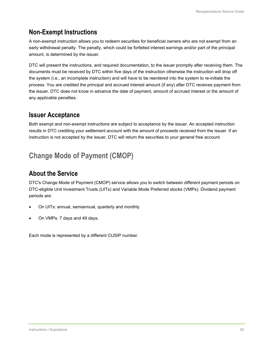## **Non-Exempt Instructions**

A non-exempt instruction allows you to redeem securities for beneficial owners who are not exempt from an early withdrawal penalty. The penalty, which could be forfeited interest earnings and/or part of the principal amount, is determined by the issuer.

DTC will present the instructions, and required documentation, to the issuer promptly after receiving them. The documents must be received by DTC within five days of the instruction otherwise the instruction will drop off the system (i.e., an incomplete instruction) and will have to be reentered into the system to re-initiate the process. You are credited the principal and accrued interest amount (if any) after DTC receives payment from the issuer. DTC does not know in advance the date of payment, amount of accrued interest or the amount of any applicable penalties.

### **Issuer Acceptance**

Both exempt and non-exempt instructions are subject to acceptance by the issuer. An accepted instruction results in DTC crediting your settlement account with the amount of proceeds received from the issuer. If an instruction is not accepted by the issuer, DTC will return the securities to your general free account.

# **Change Mode of Payment (CMOP)**

## **About the Service**

DTC's Change Mode of Payment (CMOP) service allows you to switch between different payment periods on DTC-eligible Unit Investment Trusts (UITs) and Variable Mode Preferred stocks (VMPs). Dividend payment periods are:

- On UITs: annual, semiannual, quarterly and monthly
- On VMPs: 7 days and 49 days.

Each mode is represented by a different CUSIP number.